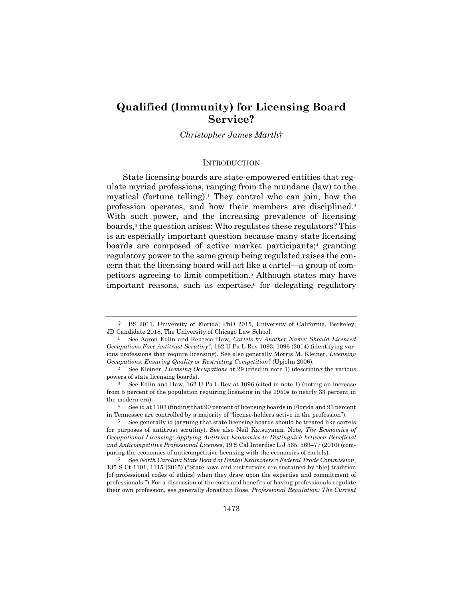# **Qualified (Immunity) for Licensing Board Service?**

*Christopher James Marth*†

## **INTRODUCTION**

State licensing boards are state-empowered entities that regulate myriad professions, ranging from the mundane (law) to the mystical (fortune telling).<sup>1</sup> They control who can join, how the profession operates, and how their members are disciplined.2 With such power, and the increasing prevalence of licensing boards,3 the question arises: Who regulates these regulators? This is an especially important question because many state licensing boards are composed of active market participants;<sup>4</sup> granting regulatory power to the same group being regulated raises the concern that the licensing board will act like a cartel—a group of competitors agreeing to limit competition.5 Although states may have important reasons, such as expertise, $6$  for delegating regulatory

<sup>†</sup> BS 2011, University of Florida; PhD 2015, University of California, Berkeley; JD Candidate 2018, The University of Chicago Law School.

<sup>1</sup> See Aaron Edlin and Rebecca Haw, *Cartels by Another Name: Should Licensed Occupations Face Antitrust Scrutiny?*, 162 U Pa L Rev 1093, 1096 (2014) (identifying various professions that require licensing). See also generally Morris M. Kleiner, *Licensing Occupations: Ensuring Quality or Restricting Competition?* (Upjohn 2006).

<sup>2</sup> See Kleiner, *Licensing Occupations* at 29 (cited in note 1) (describing the various powers of state licensing boards).

<sup>3</sup> See Edlin and Haw, 162 U Pa L Rev at 1096 (cited in note 1) (noting an increase from 5 percent of the population requiring licensing in the 1950s to nearly 33 percent in the modern era).

<sup>4</sup> See id at 1103 (finding that 90 percent of licensing boards in Florida and 93 percent in Tennessee are controlled by a majority of "license-holders active in the profession").

<sup>5</sup> See generally id (arguing that state licensing boards should be treated like cartels for purposes of antitrust scrutiny). See also Neil Katsuyama, Note, *The Economics of Occupational Licensing: Applying Antitrust Economics to Distinguish between Beneficial and Anticompetitive Professional Licenses*, 19 S Cal Interdisc L J 565, 569–77 (2010) (comparing the economics of anticompetitive licensing with the economics of cartels).

<sup>6</sup> See *North Carolina State Board of Dental Examiners v Federal Trade Commission*, 135 S Ct 1101, 1115 (2015) ("State laws and institutions are sustained by th[e] tradition [of professional codes of ethics] when they draw upon the expertise and commitment of professionals.") For a discussion of the costs and benefits of having professionals regulate their own profession, see generally Jonathan Rose, *Professional Regulation: The Current*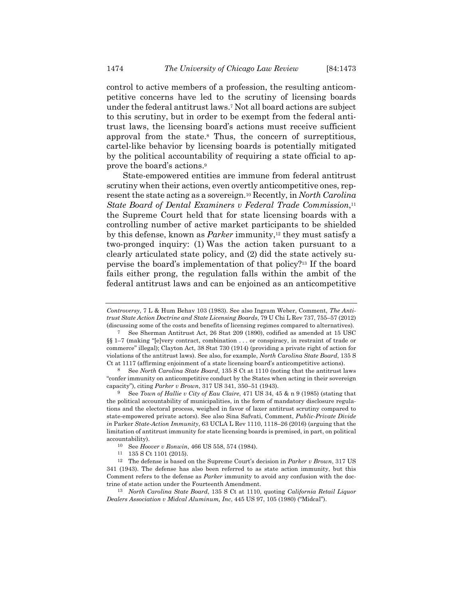control to active members of a profession, the resulting anticompetitive concerns have led to the scrutiny of licensing boards under the federal antitrust laws.7 Not all board actions are subject to this scrutiny, but in order to be exempt from the federal antitrust laws, the licensing board's actions must receive sufficient approval from the state.8 Thus, the concern of surreptitious, cartel-like behavior by licensing boards is potentially mitigated by the political accountability of requiring a state official to approve the board's actions.9

State-empowered entities are immune from federal antitrust scrutiny when their actions, even overtly anticompetitive ones, represent the state acting as a sovereign.10 Recently, in *North Carolina State Board of Dental Examiners v Federal Trade Commission*,11 the Supreme Court held that for state licensing boards with a controlling number of active market participants to be shielded by this defense, known as *Parker* immunity,<sup>12</sup> they must satisfy a two-pronged inquiry: (1) Was the action taken pursuant to a clearly articulated state policy, and (2) did the state actively supervise the board's implementation of that policy?13 If the board fails either prong, the regulation falls within the ambit of the federal antitrust laws and can be enjoined as an anticompetitive

*Controversy*, 7 L & Hum Behav 103 (1983). See also Ingram Weber, Comment, *The Antitrust State Action Doctrine and State Licensing Boards*, 79 U Chi L Rev 737, 755–57 (2012) (discussing some of the costs and benefits of licensing regimes compared to alternatives).

<sup>7</sup> See Sherman Antitrust Act, 26 Stat 209 (1890), codified as amended at 15 USC §§ 1–7 (making "[e]very contract, combination . . . or conspiracy, in restraint of trade or commerce" illegal); Clayton Act, 38 Stat 730 (1914) (providing a private right of action for violations of the antitrust laws). See also, for example, *North Carolina State Board*, 135 S Ct at 1117 (affirming enjoinment of a state licensing board's anticompetitive actions).

<sup>8</sup> See *North Carolina State Board*, 135 S Ct at 1110 (noting that the antitrust laws "confer immunity on anticompetitive conduct by the States when acting in their sovereign capacity"), citing *Parker v Brown*, 317 US 341, 350–51 (1943).

<sup>9</sup> See *Town of Hallie v City of Eau Claire*, 471 US 34, 45 & n 9 (1985) (stating that the political accountability of municipalities, in the form of mandatory disclosure regulations and the electoral process, weighed in favor of laxer antitrust scrutiny compared to state-empowered private actors). See also Sina Safvati, Comment, *Public-Private Divide in* Parker *State-Action Immunity*, 63 UCLA L Rev 1110, 1118–26 (2016) (arguing that the limitation of antitrust immunity for state licensing boards is premised, in part, on political accountability).

<sup>10</sup> See *Hoover v Ronwin*, 466 US 558, 574 (1984). 11 135 S Ct 1101 (2015).

<sup>12</sup> The defense is based on the Supreme Court's decision in *Parker v Brown*, 317 US 341 (1943). The defense has also been referred to as state action immunity, but this Comment refers to the defense as *Parker* immunity to avoid any confusion with the doctrine of state action under the Fourteenth Amendment.

<sup>13</sup> *North Carolina State Board*, 135 S Ct at 1110, quoting *California Retail Liquor Dealers Association v Midcal Aluminum, Inc*, 445 US 97, 105 (1980) ("Midcal").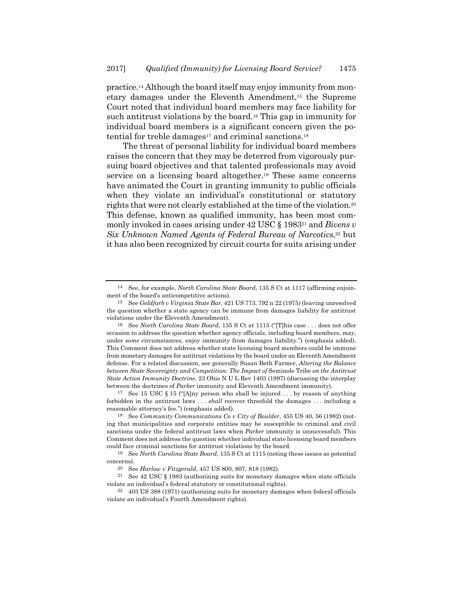practice.14 Although the board itself may enjoy immunity from monetary damages under the Eleventh Amendment,15 the Supreme Court noted that individual board members may face liability for such antitrust violations by the board.16 This gap in immunity for individual board members is a significant concern given the potential for treble damages<sup>17</sup> and criminal sanctions.<sup>18</sup>

The threat of personal liability for individual board members raises the concern that they may be deterred from vigorously pursuing board objectives and that talented professionals may avoid service on a licensing board altogether.19 These same concerns have animated the Court in granting immunity to public officials when they violate an individual's constitutional or statutory rights that were not clearly established at the time of the violation.20 This defense, known as qualified immunity, has been most commonly invoked in cases arising under 42 USC § 198321 and *Bivens v Six Unknown Named Agents of Federal Bureau of Narcotics*,<sup>22</sup> but it has also been recognized by circuit courts for suits arising under

<sup>14</sup> See, for example, *North Carolina State Board*, 135 S Ct at 1117 (affirming enjoinment of the board's anticompetitive actions).

<sup>15</sup> See *Goldfarb v Virginia State Bar*, 421 US 773, 792 n 22 (1975) (leaving unresolved the question whether a state agency can be immune from damages liability for antitrust violations under the Eleventh Amendment).

<sup>16</sup> See *North Carolina State Board*, 135 S Ct at 1115 ("[T]his case . . . does not offer occasion to address the question whether agency officials, including board members, may, under *some* circumstances, enjoy immunity from damages liability.") (emphasis added). This Comment does not address whether state licensing board members could be immune from monetary damages for antitrust violations by the board under an Eleventh Amendment defense. For a related discussion, see generally Susan Beth Farmer, *Altering the Balance between State Sovereignty and Competition: The Impact of* Seminole Tribe *on the Antitrust State Action Immunity Doctrine*, 23 Ohio N U L Rev 1403 (1997) (discussing the interplay between the doctrines of *Parker* immunity and Eleventh Amendment immunity).

<sup>17</sup> See 15 USC § 15 ("[A]ny person who shall be injured . . . by reason of anything forbidden in the antitrust laws . . . *shall* recover threefold the damages . . . including a reasonable attorney's fee.") (emphasis added).

<sup>18</sup> See *Community Communications Co v City of Boulder*, 455 US 40, 56 (1982) (noting that municipalities and corporate entities may be susceptible to criminal and civil sanctions under the federal antitrust laws when *Parker* immunity is unsuccessful). This Comment does not address the question whether individual state licensing board members could face criminal sanctions for antitrust violations by the board.

<sup>19</sup> See *North Carolina State Board*, 135 S Ct at 1115 (noting these issues as potential concerns).

<sup>20</sup> See *Harlow v Fitzgerald*, 457 US 800, 807, 818 (1982). 21 See 42 USC § 1983 (authorizing suits for monetary damages when state officials violate an individual's federal statutory or constitutional rights).

<sup>22 403</sup> US 388 (1971) (authorizing suits for monetary damages when federal officials violate an individual's Fourth Amendment rights).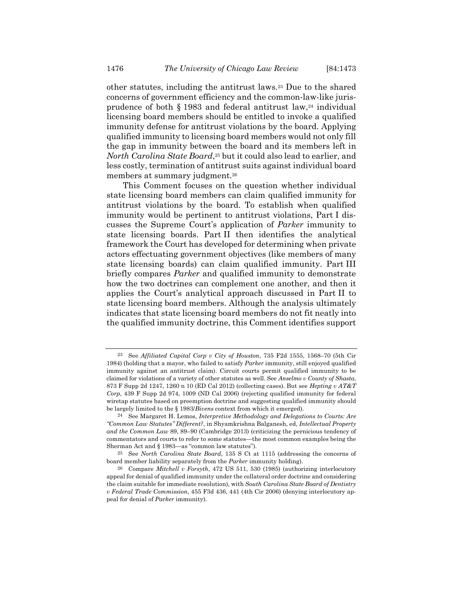other statutes, including the antitrust laws.23 Due to the shared concerns of government efficiency and the common-law-like jurisprudence of both  $\S$  1983 and federal antitrust law,<sup>24</sup> individual licensing board members should be entitled to invoke a qualified immunity defense for antitrust violations by the board. Applying qualified immunity to licensing board members would not only fill the gap in immunity between the board and its members left in *North Carolina State Board*,<sup>25</sup> but it could also lead to earlier, and less costly, termination of antitrust suits against individual board members at summary judgment.<sup>26</sup>

This Comment focuses on the question whether individual state licensing board members can claim qualified immunity for antitrust violations by the board. To establish when qualified immunity would be pertinent to antitrust violations, Part I discusses the Supreme Court's application of *Parker* immunity to state licensing boards. Part II then identifies the analytical framework the Court has developed for determining when private actors effectuating government objectives (like members of many state licensing boards) can claim qualified immunity. Part III briefly compares *Parker* and qualified immunity to demonstrate how the two doctrines can complement one another, and then it applies the Court's analytical approach discussed in Part II to state licensing board members. Although the analysis ultimately indicates that state licensing board members do not fit neatly into the qualified immunity doctrine, this Comment identifies support

<sup>23</sup> See *Affiliated Capital Corp v City of Houston*, 735 F2d 1555, 1568–70 (5th Cir 1984) (holding that a mayor, who failed to satisfy *Parker* immunity, still enjoyed qualified immunity against an antitrust claim). Circuit courts permit qualified immunity to be claimed for violations of a variety of other statutes as well. See *Anselmo v County of Shasta*, 873 F Supp 2d 1247, 1260 n 10 (ED Cal 2012) (collecting cases). But see *Hepting v AT&T Corp*, 439 F Supp 2d 974, 1009 (ND Cal 2006) (rejecting qualified immunity for federal wiretap statutes based on preemption doctrine and suggesting qualified immunity should be largely limited to the § 1983/*Bivens* context from which it emerged).

<sup>24</sup> See Margaret H. Lemos, *Interpretive Methodology and Delegations to Courts: Are "Common Law Statutes" Different?*, in Shyamkrishna Balganesh, ed, *Intellectual Property and the Common Law* 89, 89–90 (Cambridge 2013) (criticizing the pernicious tendency of commentators and courts to refer to some statutes—the most common examples being the Sherman Act and § 1983—as "common law statutes").

<sup>25</sup> See *North Carolina State Board*, 135 S Ct at 1115 (addressing the concerns of board member liability separately from the *Parker* immunity holding).

<sup>26</sup> Compare *Mitchell v Forsyth*, 472 US 511, 530 (1985) (authorizing interlocutory appeal for denial of qualified immunity under the collateral order doctrine and considering the claim suitable for immediate resolution), with *South Carolina State Board of Dentistry v Federal Trade Commission*, 455 F3d 436, 441 (4th Cir 2006) (denying interlocutory appeal for denial of *Parker* immunity).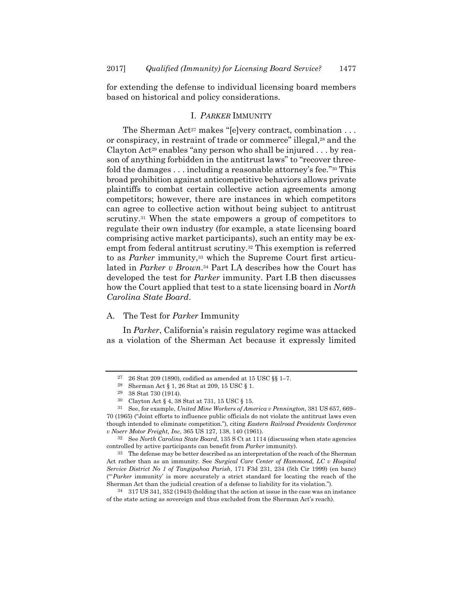for extending the defense to individual licensing board members based on historical and policy considerations.

## I. *PARKER* IMMUNITY

The Sherman Act<sup>27</sup> makes "[e]very contract, combination  $\dots$ or conspiracy, in restraint of trade or commerce" illegal,<sup>28</sup> and the Clayton Act<sup>29</sup> enables "any person who shall be injured  $\dots$  by reason of anything forbidden in the antitrust laws" to "recover threefold the damages . . . including a reasonable attorney's fee."30 This broad prohibition against anticompetitive behaviors allows private plaintiffs to combat certain collective action agreements among competitors; however, there are instances in which competitors can agree to collective action without being subject to antitrust scrutiny.<sup>31</sup> When the state empowers a group of competitors to regulate their own industry (for example, a state licensing board comprising active market participants), such an entity may be exempt from federal antitrust scrutiny.<sup>32</sup> This exemption is referred to as *Parker* immunity,<sup>33</sup> which the Supreme Court first articulated in *Parker v Brown*.34 Part I.A describes how the Court has developed the test for *Parker* immunity. Part I.B then discusses how the Court applied that test to a state licensing board in *North Carolina State Board*.

# A. The Test for *Parker* Immunity

In *Parker*, California's raisin regulatory regime was attacked as a violation of the Sherman Act because it expressly limited

<sup>27 26</sup> Stat 209 (1890), codified as amended at 15 USC §§ 1–7.

<sup>28</sup> Sherman Act § 1, 26 Stat at 209, 15 USC § 1.

<sup>29 38</sup> Stat 730 (1914).

<sup>30</sup> Clayton Act § 4, 38 Stat at 731, 15 USC § 15.

<sup>31</sup> See, for example, *United Mine Workers of America v Pennington*, 381 US 657, 669– 70 (1965) ("Joint efforts to influence public officials do not violate the antitrust laws even though intended to eliminate competition."), citing *Eastern Railroad Presidents Conference v Noerr Motor Freight, Inc*, 365 US 127, 138, 140 (1961).

<sup>32</sup> See *North Carolina State Board*, 135 S Ct at 1114 (discussing when state agencies controlled by active participants can benefit from *Parker* immunity).

<sup>&</sup>lt;sup>33</sup> The defense may be better described as an interpretation of the reach of the Sherman Act rather than as an immunity. See *Surgical Care Center of Hammond, LC v Hospital Service District No 1 of Tangipahoa Parish*, 171 F3d 231, 234 (5th Cir 1999) (en banc) ("'*Parker* immunity' is more accurately a strict standard for locating the reach of the Sherman Act than the judicial creation of a defense to liability for its violation.").

<sup>34 317</sup> US 341, 352 (1943) (holding that the action at issue in the case was an instance of the state acting as sovereign and thus excluded from the Sherman Act's reach).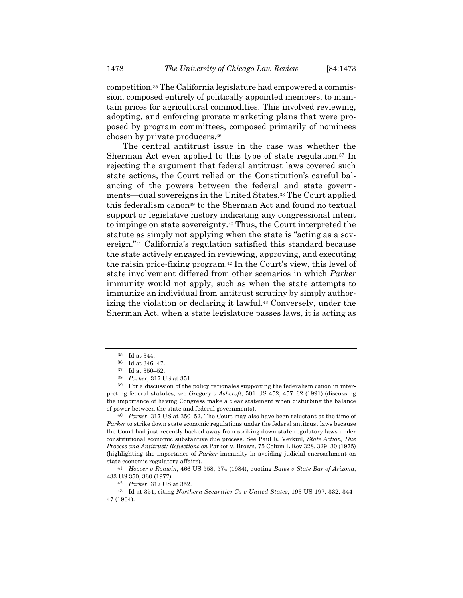competition.35 The California legislature had empowered a commission, composed entirely of politically appointed members, to maintain prices for agricultural commodities. This involved reviewing, adopting, and enforcing prorate marketing plans that were proposed by program committees, composed primarily of nominees chosen by private producers.36

The central antitrust issue in the case was whether the Sherman Act even applied to this type of state regulation.37 In rejecting the argument that federal antitrust laws covered such state actions, the Court relied on the Constitution's careful balancing of the powers between the federal and state governments—dual sovereigns in the United States.38 The Court applied this federalism canon39 to the Sherman Act and found no textual support or legislative history indicating any congressional intent to impinge on state sovereignty.40 Thus, the Court interpreted the statute as simply not applying when the state is "acting as a sovereign."41 California's regulation satisfied this standard because the state actively engaged in reviewing, approving, and executing the raisin price-fixing program.42 In the Court's view, this level of state involvement differed from other scenarios in which *Parker* immunity would not apply, such as when the state attempts to immunize an individual from antitrust scrutiny by simply authorizing the violation or declaring it lawful.<sup>43</sup> Conversely, under the Sherman Act, when a state legislature passes laws, it is acting as

40 *Parker*, 317 US at 350–52. The Court may also have been reluctant at the time of *Parker* to strike down state economic regulations under the federal antitrust laws because the Court had just recently backed away from striking down state regulatory laws under constitutional economic substantive due process. See Paul R. Verkuil, *State Action, Due Process and Antitrust: Reflections on* Parker v. Brown, 75 Colum L Rev 328, 329–30 (1975) (highlighting the importance of *Parker* immunity in avoiding judicial encroachment on state economic regulatory affairs).

41 *Hoover v Ronwin*, 466 US 558, 574 (1984), quoting *Bates v State Bar of Arizona*, 433 US 350, 360 (1977).

43 Id at 351, citing *Northern Securities Co v United States*, 193 US 197, 332, 344– 47 (1904).

<sup>35</sup> Id at 344.

<sup>36</sup> Id at 346–47.

<sup>37</sup> Id at 350–52.

<sup>38</sup> *Parker*, 317 US at 351.

<sup>39</sup> For a discussion of the policy rationales supporting the federalism canon in interpreting federal statutes, see *Gregory v Ashcroft*, 501 US 452, 457–62 (1991) (discussing the importance of having Congress make a clear statement when disturbing the balance of power between the state and federal governments).

<sup>42</sup> *Parker*, 317 US at 352.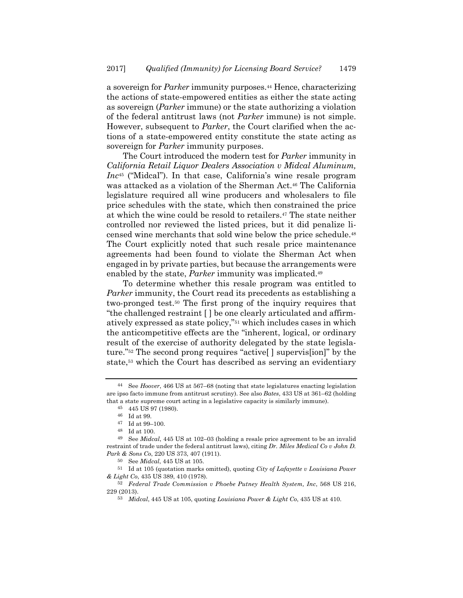a sovereign for *Parker* immunity purposes.44 Hence, characterizing the actions of state-empowered entities as either the state acting as sovereign (*Parker* immune) or the state authorizing a violation of the federal antitrust laws (not *Parker* immune) is not simple. However, subsequent to *Parker*, the Court clarified when the actions of a state-empowered entity constitute the state acting as sovereign for *Parker* immunity purposes.

The Court introduced the modern test for *Parker* immunity in *California Retail Liquor Dealers Association v Midcal Aluminum, Inc*45 ("Midcal"). In that case, California's wine resale program was attacked as a violation of the Sherman Act.46 The California legislature required all wine producers and wholesalers to file price schedules with the state, which then constrained the price at which the wine could be resold to retailers.47 The state neither controlled nor reviewed the listed prices, but it did penalize licensed wine merchants that sold wine below the price schedule.48 The Court explicitly noted that such resale price maintenance agreements had been found to violate the Sherman Act when engaged in by private parties, but because the arrangements were enabled by the state, *Parker* immunity was implicated.49

To determine whether this resale program was entitled to *Parker* immunity, the Court read its precedents as establishing a two-pronged test.50 The first prong of the inquiry requires that "the challenged restraint [ ] be one clearly articulated and affirmatively expressed as state policy,"51 which includes cases in which the anticompetitive effects are the "inherent, logical, or ordinary result of the exercise of authority delegated by the state legislature."52 The second prong requires "active[ ] supervis[ion]" by the state,53 which the Court has described as serving an evidentiary

<sup>44</sup> See *Hoover*, 466 US at 567–68 (noting that state legislatures enacting legislation are ipso facto immune from antitrust scrutiny). See also *Bates*, 433 US at 361–62 (holding that a state supreme court acting in a legislative capacity is similarly immune).

<sup>45 445</sup> US 97 (1980).

<sup>46</sup> Id at 99.

<sup>47</sup> Id at 99–100.

<sup>48</sup> Id at 100.

<sup>49</sup> See *Midcal*, 445 US at 102–03 (holding a resale price agreement to be an invalid restraint of trade under the federal antitrust laws), citing *Dr. Miles Medical Co v John D. Park & Sons Co*, 220 US 373, 407 (1911).

<sup>50</sup> See *Midcal*, 445 US at 105.

<sup>51</sup> Id at 105 (quotation marks omitted), quoting *City of Lafayette v Louisiana Power & Light Co*, 435 US 389, 410 (1978).

<sup>52</sup> *Federal Trade Commission v Phoebe Putney Health System, Inc*, 568 US 216, 229 (2013).

<sup>53</sup> *Midcal*, 445 US at 105, quoting *Louisiana Power & Light Co*, 435 US at 410.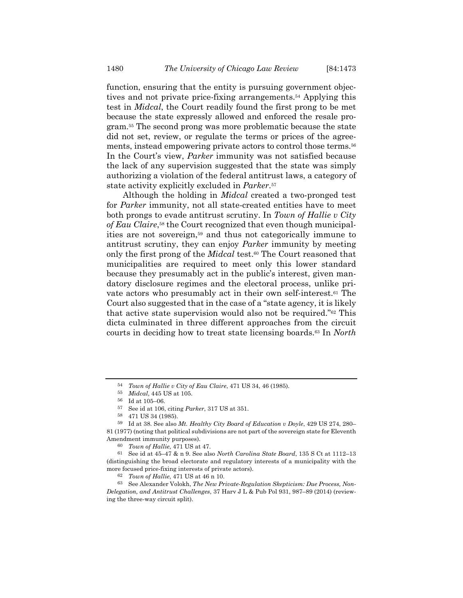function, ensuring that the entity is pursuing government objectives and not private price-fixing arrangements.54 Applying this test in *Midcal*, the Court readily found the first prong to be met because the state expressly allowed and enforced the resale program.55 The second prong was more problematic because the state did not set, review, or regulate the terms or prices of the agreements, instead empowering private actors to control those terms.56 In the Court's view, *Parker* immunity was not satisfied because the lack of any supervision suggested that the state was simply authorizing a violation of the federal antitrust laws, a category of state activity explicitly excluded in *Parker*.57

Although the holding in *Midcal* created a two-pronged test for *Parker* immunity, not all state-created entities have to meet both prongs to evade antitrust scrutiny. In *Town of Hallie v City of Eau Claire*,58 the Court recognized that even though municipalities are not sovereign,59 and thus not categorically immune to antitrust scrutiny, they can enjoy *Parker* immunity by meeting only the first prong of the *Midcal* test.60 The Court reasoned that municipalities are required to meet only this lower standard because they presumably act in the public's interest, given mandatory disclosure regimes and the electoral process, unlike private actors who presumably act in their own self-interest.61 The Court also suggested that in the case of a "state agency, it is likely that active state supervision would also not be required."62 This dicta culminated in three different approaches from the circuit courts in deciding how to treat state licensing boards.63 In *North* 

<sup>54</sup> *Town of Hallie v City of Eau Claire*, 471 US 34, 46 (1985).

<sup>55</sup> *Midcal*, 445 US at 105.

<sup>56</sup> Id at 105–06.

<sup>57</sup> See id at 106, citing *Parker*, 317 US at 351.

<sup>58 471</sup> US 34 (1985).

<sup>59</sup> Id at 38. See also *Mt. Healthy City Board of Education v Doyle*, 429 US 274, 280– 81 (1977) (noting that political subdivisions are not part of the sovereign state for Eleventh Amendment immunity purposes).

<sup>60</sup> *Town of Hallie*, 471 US at 47. 61 See id at 45–47 & n 9. See also *North Carolina State Board*, 135 S Ct at 1112–13 (distinguishing the broad electorate and regulatory interests of a municipality with the more focused price-fixing interests of private actors).

<sup>62</sup> *Town of Hallie*, 471 US at 46 n 10.

<sup>63</sup> See Alexander Volokh, *The New Private-Regulation Skepticism: Due Process, Non-Delegation, and Antitrust Challenges*, 37 Harv J L & Pub Pol 931, 987–89 (2014) (reviewing the three-way circuit split).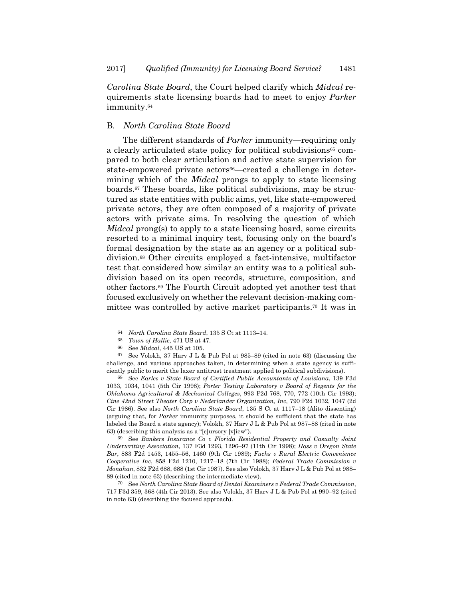*Carolina State Board*, the Court helped clarify which *Midcal* requirements state licensing boards had to meet to enjoy *Parker* immunity.64

#### B. *North Carolina State Board*

The different standards of *Parker* immunity—requiring only a clearly articulated state policy for political subdivisions<sup>65</sup> compared to both clear articulation and active state supervision for state-empowered private actors<sup>66</sup>—created a challenge in determining which of the *Midcal* prongs to apply to state licensing boards.67 These boards, like political subdivisions, may be structured as state entities with public aims, yet, like state-empowered private actors, they are often composed of a majority of private actors with private aims. In resolving the question of which *Midcal* prong(s) to apply to a state licensing board, some circuits resorted to a minimal inquiry test, focusing only on the board's formal designation by the state as an agency or a political subdivision.68 Other circuits employed a fact-intensive, multifactor test that considered how similar an entity was to a political subdivision based on its open records, structure, composition, and other factors.69 The Fourth Circuit adopted yet another test that focused exclusively on whether the relevant decision-making committee was controlled by active market participants.70 It was in

68 See *Earles v State Board of Certified Public Accountants of Louisiana*, 139 F3d 1033, 1034, 1041 (5th Cir 1998); *Porter Testing Laboratory v Board of Regents for the Oklahoma Agricultural & Mechanical Colleges*, 993 F2d 768, 770, 772 (10th Cir 1993); *Cine 42nd Street Theater Corp v Nederlander Organization, Inc*, 790 F2d 1032, 1047 (2d Cir 1986). See also *North Carolina State Board*, 135 S Ct at 1117–18 (Alito dissenting) (arguing that, for *Parker* immunity purposes, it should be sufficient that the state has labeled the Board a state agency); Volokh, 37 Harv J L & Pub Pol at 987–88 (cited in note 63) (describing this analysis as a "[c]ursory [v]iew").

69 See *Bankers Insurance Co v Florida Residential Property and Casualty Joint Underwriting Association*, 137 F3d 1293, 1296–97 (11th Cir 1998); *Hass v Oregon State Bar*, 883 F2d 1453, 1455–56, 1460 (9th Cir 1989); *Fuchs v Rural Electric Convenience Cooperative Inc*, 858 F2d 1210, 1217–18 (7th Cir 1988); *Federal Trade Commission v Monahan*, 832 F2d 688, 688 (1st Cir 1987). See also Volokh, 37 Harv J L & Pub Pol at 988– 89 (cited in note 63) (describing the intermediate view).

70 See *North Carolina State Board of Dental Examiners v Federal Trade Commission*, 717 F3d 359, 368 (4th Cir 2013). See also Volokh, 37 Harv J L & Pub Pol at 990–92 (cited in note 63) (describing the focused approach).

<sup>64</sup> *North Carolina State Board*, 135 S Ct at 1113–14.

<sup>65</sup> *Town of Hallie*, 471 US at 47.

<sup>66</sup> See *Midcal*, 445 US at 105.

<sup>67</sup> See Volokh, 37 Harv J L & Pub Pol at 985–89 (cited in note 63) (discussing the challenge, and various approaches taken, in determining when a state agency is sufficiently public to merit the laxer antitrust treatment applied to political subdivisions).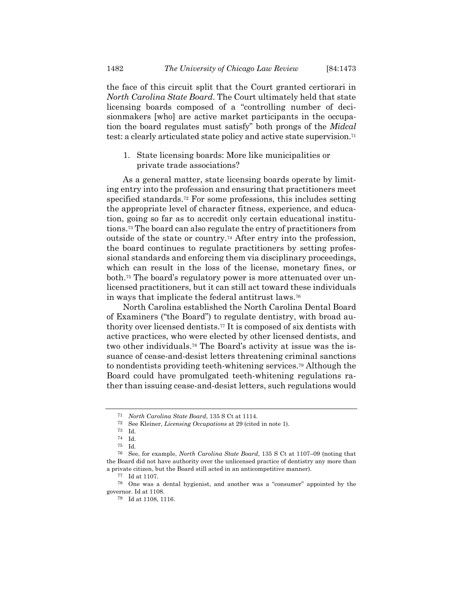the face of this circuit split that the Court granted certiorari in *North Carolina State Board*. The Court ultimately held that state licensing boards composed of a "controlling number of decisionmakers [who] are active market participants in the occupation the board regulates must satisfy" both prongs of the *Midcal* test: a clearly articulated state policy and active state supervision.<sup>71</sup>

1. State licensing boards: More like municipalities or private trade associations?

As a general matter, state licensing boards operate by limiting entry into the profession and ensuring that practitioners meet specified standards.72 For some professions, this includes setting the appropriate level of character fitness, experience, and education, going so far as to accredit only certain educational institutions.73 The board can also regulate the entry of practitioners from outside of the state or country.74 After entry into the profession, the board continues to regulate practitioners by setting professional standards and enforcing them via disciplinary proceedings, which can result in the loss of the license, monetary fines, or both.75 The board's regulatory power is more attenuated over unlicensed practitioners, but it can still act toward these individuals in ways that implicate the federal antitrust laws.76

North Carolina established the North Carolina Dental Board of Examiners ("the Board") to regulate dentistry, with broad authority over licensed dentists.77 It is composed of six dentists with active practices, who were elected by other licensed dentists, and two other individuals.78 The Board's activity at issue was the issuance of cease-and-desist letters threatening criminal sanctions to nondentists providing teeth-whitening services.79 Although the Board could have promulgated teeth-whitening regulations rather than issuing cease-and-desist letters, such regulations would

<sup>71</sup> *North Carolina State Board*, 135 S Ct at 1114.

<sup>72</sup> See Kleiner, *Licensing Occupations* at 29 (cited in note 1). 73 Id.

<sup>74</sup> Id.

<sup>75</sup> Id.

<sup>76</sup> See, for example, *North Carolina State Board*, 135 S Ct at 1107–09 (noting that the Board did not have authority over the unlicensed practice of dentistry any more than a private citizen, but the Board still acted in an anticompetitive manner).

<sup>77</sup> Id at 1107.

<sup>78</sup> One was a dental hygienist, and another was a "consumer" appointed by the governor. Id at 1108.

<sup>79</sup> Id at 1108, 1116.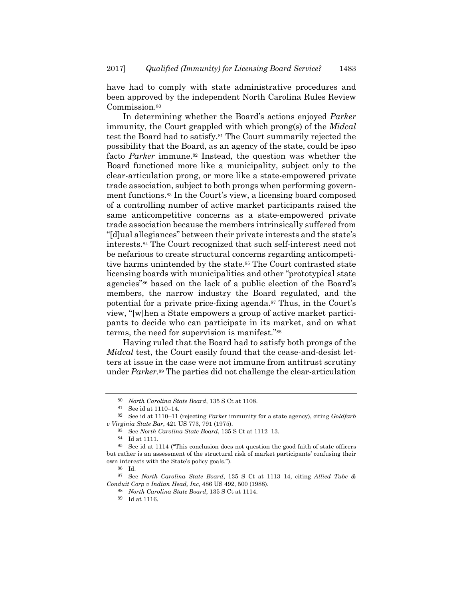have had to comply with state administrative procedures and been approved by the independent North Carolina Rules Review Commission.<sup>80</sup>

In determining whether the Board's actions enjoyed *Parker* immunity, the Court grappled with which prong(s) of the *Midcal* test the Board had to satisfy.81 The Court summarily rejected the possibility that the Board, as an agency of the state, could be ipso facto *Parker* immune.<sup>82</sup> Instead, the question was whether the Board functioned more like a municipality, subject only to the clear-articulation prong, or more like a state-empowered private trade association, subject to both prongs when performing government functions.83 In the Court's view, a licensing board composed of a controlling number of active market participants raised the same anticompetitive concerns as a state-empowered private trade association because the members intrinsically suffered from "[d]ual allegiances" between their private interests and the state's interests.84 The Court recognized that such self-interest need not be nefarious to create structural concerns regarding anticompetitive harms unintended by the state.<sup>85</sup> The Court contrasted state licensing boards with municipalities and other "prototypical state agencies"86 based on the lack of a public election of the Board's members, the narrow industry the Board regulated, and the potential for a private price-fixing agenda.<sup>87</sup> Thus, in the Court's view, "[w]hen a State empowers a group of active market participants to decide who can participate in its market, and on what terms, the need for supervision is manifest."88

Having ruled that the Board had to satisfy both prongs of the *Midcal* test, the Court easily found that the cease-and-desist letters at issue in the case were not immune from antitrust scrutiny under *Parker*.89 The parties did not challenge the clear-articulation

84 Id at 1111.

<sup>80</sup> *North Carolina State Board*, 135 S Ct at 1108.

<sup>81</sup> See id at 1110–14.

<sup>82</sup> See id at 1110–11 (rejecting *Parker* immunity for a state agency), citing *Goldfarb v Virginia State Bar*, 421 US 773, 791 (1975).

<sup>83</sup> See *North Carolina State Board*, 135 S Ct at 1112–13.

<sup>85</sup> See id at 1114 ("This conclusion does not question the good faith of state officers but rather is an assessment of the structural risk of market participants' confusing their own interests with the State's policy goals.").

<sup>86</sup> Id.

<sup>87</sup> See *North Carolina State Board*, 135 S Ct at 1113–14, citing *Allied Tube & Conduit Corp v Indian Head, Inc*, 486 US 492, 500 (1988).

<sup>88</sup> *North Carolina State Board*, 135 S Ct at 1114. 89 Id at 1116.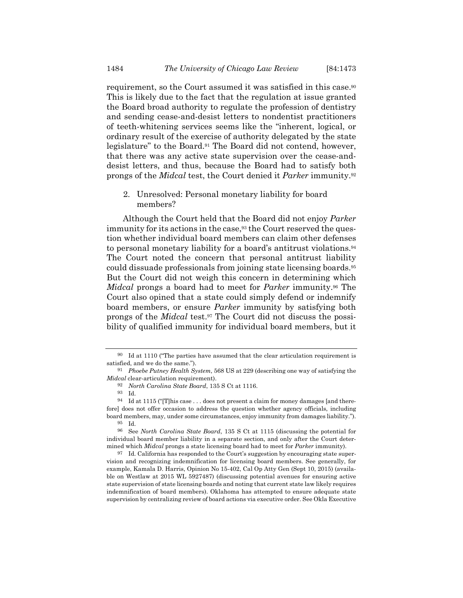requirement, so the Court assumed it was satisfied in this case.<sup>90</sup> This is likely due to the fact that the regulation at issue granted the Board broad authority to regulate the profession of dentistry and sending cease-and-desist letters to nondentist practitioners of teeth-whitening services seems like the "inherent, logical, or ordinary result of the exercise of authority delegated by the state legislature" to the Board.91 The Board did not contend, however, that there was any active state supervision over the cease-anddesist letters, and thus, because the Board had to satisfy both prongs of the *Midcal* test, the Court denied it *Parker* immunity.92

2. Unresolved: Personal monetary liability for board members?

Although the Court held that the Board did not enjoy *Parker* immunity for its actions in the case,<sup>93</sup> the Court reserved the question whether individual board members can claim other defenses to personal monetary liability for a board's antitrust violations.94 The Court noted the concern that personal antitrust liability could dissuade professionals from joining state licensing boards.95 But the Court did not weigh this concern in determining which *Midcal* prongs a board had to meet for *Parker* immunity.96 The Court also opined that a state could simply defend or indemnify board members, or ensure *Parker* immunity by satisfying both prongs of the *Midcal* test.97 The Court did not discuss the possibility of qualified immunity for individual board members, but it

<sup>90</sup> Id at 1110 ("The parties have assumed that the clear articulation requirement is satisfied, and we do the same.").

<sup>91</sup> *Phoebe Putney Health System*, 568 US at 229 (describing one way of satisfying the *Midcal* clear-articulation requirement).

<sup>92</sup> *North Carolina State Board*, 135 S Ct at 1116.

<sup>93</sup> Id.

<sup>&</sup>lt;sup>94</sup> Id at 1115 ("This case  $\dots$  does not present a claim for money damages [and therefore] does not offer occasion to address the question whether agency officials, including board members, may, under some circumstances, enjoy immunity from damages liability."). 95 Id.

<sup>96</sup> See *North Carolina State Board*, 135 S Ct at 1115 (discussing the potential for individual board member liability in a separate section, and only after the Court determined which *Midcal* prongs a state licensing board had to meet for *Parker* immunity).

<sup>97</sup> Id. California has responded to the Court's suggestion by encouraging state supervision and recognizing indemnification for licensing board members. See generally, for example, Kamala D. Harris, Opinion No 15-402, Cal Op Atty Gen (Sept 10, 2015) (available on Westlaw at 2015 WL 5927487) (discussing potential avenues for ensuring active state supervision of state licensing boards and noting that current state law likely requires indemnification of board members). Oklahoma has attempted to ensure adequate state supervision by centralizing review of board actions via executive order. See Okla Executive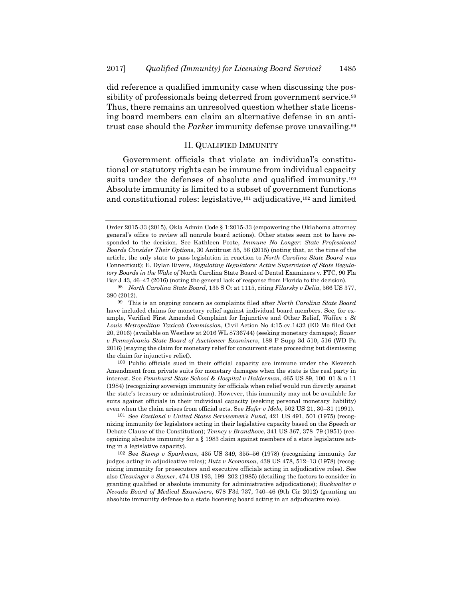did reference a qualified immunity case when discussing the possibility of professionals being deterred from government service.<sup>98</sup> Thus, there remains an unresolved question whether state licensing board members can claim an alternative defense in an antitrust case should the *Parker* immunity defense prove unavailing.<sup>99</sup>

### II. QUALIFIED IMMUNITY

Government officials that violate an individual's constitutional or statutory rights can be immune from individual capacity suits under the defenses of absolute and qualified immunity.<sup>100</sup> Absolute immunity is limited to a subset of government functions and constitutional roles: legislative,<sup>101</sup> adjudicative,<sup>102</sup> and limited

100 Public officials sued in their official capacity are immune under the Eleventh Amendment from private suits for monetary damages when the state is the real party in interest. See *Pennhurst State School & Hospital v Halderman*, 465 US 89, 100–01 & n 11 (1984) (recognizing sovereign immunity for officials when relief would run directly against the state's treasury or administration). However, this immunity may not be available for suits against officials in their individual capacity (seeking personal monetary liability) even when the claim arises from official acts. See *Hafer v Melo*, 502 US 21, 30–31 (1991).

101 See *Eastland v United States Servicemen's Fund*, 421 US 491, 501 (1975) (recognizing immunity for legislators acting in their legislative capacity based on the Speech or Debate Clause of the Constitution); *Tenney v Brandhove*, 341 US 367, 378–79 (1951) (recognizing absolute immunity for a § 1983 claim against members of a state legislature acting in a legislative capacity).

102 See *Stump v Sparkman*, 435 US 349, 355–56 (1978) (recognizing immunity for judges acting in adjudicative roles); *Butz v Economou*, 438 US 478, 512–13 (1978) (recognizing immunity for prosecutors and executive officials acting in adjudicative roles). See also *Cleavinger v Saxner*, 474 US 193, 199–202 (1985) (detailing the factors to consider in granting qualified or absolute immunity for administrative adjudications); *Buckwalter v Nevada Board of Medical Examiners*, 678 F3d 737, 740–46 (9th Cir 2012) (granting an absolute immunity defense to a state licensing board acting in an adjudicative role).

Order 2015-33 (2015), Okla Admin Code § 1:2015-33 (empowering the Oklahoma attorney general's office to review all nonrule board actions). Other states seem not to have responded to the decision. See Kathleen Foote, *Immune No Longer: State Professional Boards Consider Their Options*, 30 Antitrust 55, 56 (2015) (noting that, at the time of the article, the only state to pass legislation in reaction to *North Carolina State Board* was Connecticut); E. Dylan Rivers, *Regulating Regulators: Active Supervision of State Regulatory Boards in the Wake of* North Carolina State Board of Dental Examiners v. FTC, 90 Fla Bar J 43, 46–47 (2016) (noting the general lack of response from Florida to the decision).

<sup>98</sup> *North Carolina State Board*, 135 S Ct at 1115, citing *Filarsky v Delia*, 566 US 377, 390 (2012).

<sup>99</sup> This is an ongoing concern as complaints filed after *North Carolina State Board* have included claims for monetary relief against individual board members. See, for example, Verified First Amended Complaint for Injunctive and Other Relief, *Wallen v St Louis Metropolitan Taxicab Commission*, Civil Action No 4:15-cv-1432 (ED Mo filed Oct 20, 2016) (available on Westlaw at 2016 WL 8736744) (seeking monetary damages); *Bauer v Pennsylvania State Board of Auctioneer Examiners*, 188 F Supp 3d 510, 516 (WD Pa 2016) (staying the claim for monetary relief for concurrent state proceeding but dismissing the claim for injunctive relief).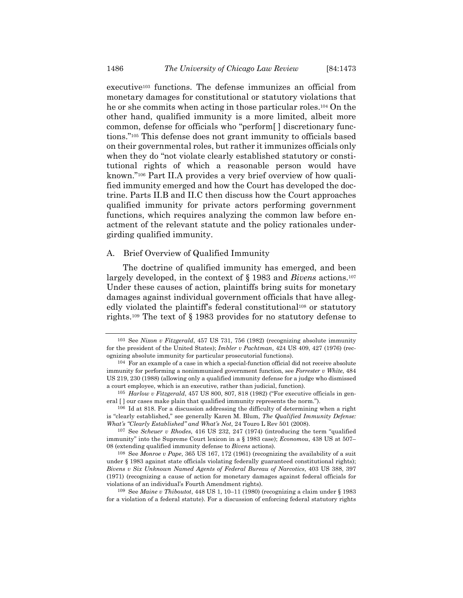executive<sup>103</sup> functions. The defense immunizes an official from monetary damages for constitutional or statutory violations that he or she commits when acting in those particular roles.104 On the other hand, qualified immunity is a more limited, albeit more common, defense for officials who "perform[ ] discretionary functions."105 This defense does not grant immunity to officials based on their governmental roles, but rather it immunizes officials only when they do "not violate clearly established statutory or constitutional rights of which a reasonable person would have known."106 Part II.A provides a very brief overview of how qualified immunity emerged and how the Court has developed the doctrine. Parts II.B and II.C then discuss how the Court approaches qualified immunity for private actors performing government functions, which requires analyzing the common law before enactment of the relevant statute and the policy rationales undergirding qualified immunity.

### A. Brief Overview of Qualified Immunity

The doctrine of qualified immunity has emerged, and been largely developed, in the context of § 1983 and *Bivens* actions.107 Under these causes of action, plaintiffs bring suits for monetary damages against individual government officials that have allegedly violated the plaintiff's federal constitutional<sup>108</sup> or statutory rights.109 The text of § 1983 provides for no statutory defense to

<sup>103</sup> See *Nixon v Fitzgerald*, 457 US 731, 756 (1982) (recognizing absolute immunity for the president of the United States); *Imbler v Pachtman*, 424 US 409, 427 (1976) (recognizing absolute immunity for particular prosecutorial functions).

<sup>104</sup> For an example of a case in which a special-function official did not receive absolute immunity for performing a nonimmunized government function, see *Forrester v White*, 484 US 219, 230 (1988) (allowing only a qualified immunity defense for a judge who dismissed a court employee, which is an executive, rather than judicial, function).

<sup>105</sup> *Harlow v Fitzgerald*, 457 US 800, 807, 818 (1982) ("For executive officials in general  $\lceil \cdot \rceil$  our cases make plain that qualified immunity represents the norm.").

<sup>106</sup> Id at 818. For a discussion addressing the difficulty of determining when a right is "clearly established," see generally Karen M. Blum, *The Qualified Immunity Defense: What's "Clearly Established" and What's Not*, 24 Touro L Rev 501 (2008).

<sup>107</sup> See *Scheuer v Rhodes*, 416 US 232, 247 (1974) (introducing the term "qualified immunity" into the Supreme Court lexicon in a § 1983 case); *Economou*, 438 US at 507– 08 (extending qualified immunity defense to *Bivens* actions).

<sup>108</sup> See *Monroe v Pape*, 365 US 167, 172 (1961) (recognizing the availability of a suit under § 1983 against state officials violating federally guaranteed constitutional rights); *Bivens v Six Unknown Named Agents of Federal Bureau of Narcotics*, 403 US 388, 397 (1971) (recognizing a cause of action for monetary damages against federal officials for violations of an individual's Fourth Amendment rights).

<sup>109</sup> See *Maine v Thiboutot*, 448 US 1, 10–11 (1980) (recognizing a claim under § 1983 for a violation of a federal statute). For a discussion of enforcing federal statutory rights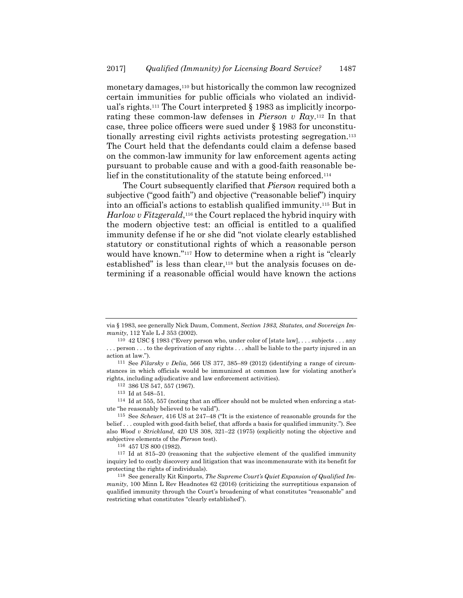monetary damages,<sup>110</sup> but historically the common law recognized certain immunities for public officials who violated an individual's rights.111 The Court interpreted § 1983 as implicitly incorporating these common-law defenses in *Pierson v Ray*.112 In that case, three police officers were sued under § 1983 for unconstitutionally arresting civil rights activists protesting segregation.<sup>113</sup> The Court held that the defendants could claim a defense based on the common-law immunity for law enforcement agents acting pursuant to probable cause and with a good-faith reasonable belief in the constitutionality of the statute being enforced.114

The Court subsequently clarified that *Pierson* required both a subjective ("good faith") and objective ("reasonable belief") inquiry into an official's actions to establish qualified immunity.115 But in *Harlow v Fitzgerald*,<sup>116</sup> the Court replaced the hybrid inquiry with the modern objective test: an official is entitled to a qualified immunity defense if he or she did "not violate clearly established statutory or constitutional rights of which a reasonable person would have known."117 How to determine when a right is "clearly established" is less than clear,<sup>118</sup> but the analysis focuses on determining if a reasonable official would have known the actions

112 386 US 547, 557 (1967).

114 Id at 555, 557 (noting that an officer should not be mulcted when enforcing a statute "he reasonably believed to be valid").

<sup>116</sup> 457 US 800 (1982).<br><sup>117</sup> Id at 815–20 (reasoning that the subjective element of the qualified immunity inquiry led to costly discovery and litigation that was incommensurate with its benefit for protecting the rights of individuals).

via § 1983, see generally Nick Daum, Comment, *Section 1983, Statutes, and Sovereign Immunity*, 112 Yale L J 353 (2002).

<sup>110 42</sup> USC § 1983 ("Every person who, under color of [state law], . . . subjects . . . any . . . person . . . to the deprivation of any rights . . . shall be liable to the party injured in an action at law.").

<sup>111</sup> See *Filarsky v Delia*, 566 US 377, 385–89 (2012) (identifying a range of circumstances in which officials would be immunized at common law for violating another's rights, including adjudicative and law enforcement activities).

 $^{113}\,$  Id at 548–51.

<sup>115</sup> See *Scheuer*, 416 US at 247–48 ("It is the existence of reasonable grounds for the belief . . . coupled with good-faith belief, that affords a basis for qualified immunity."). See also *Wood v Strickland*, 420 US 308, 321–22 (1975) (explicitly noting the objective and subjective elements of the *Pierson* test).

<sup>118</sup> See generally Kit Kinports, *The Supreme Court's Quiet Expansion of Qualified Immunity*, 100 Minn L Rev Headnotes 62 (2016) (criticizing the surreptitious expansion of qualified immunity through the Court's broadening of what constitutes "reasonable" and restricting what constitutes "clearly established").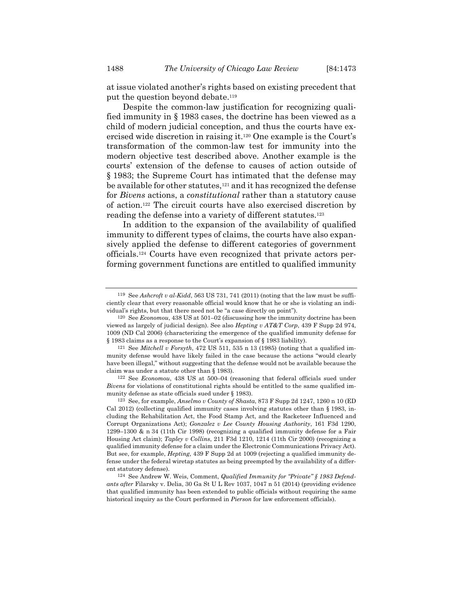at issue violated another's rights based on existing precedent that put the question beyond debate.119

Despite the common-law justification for recognizing qualified immunity in § 1983 cases, the doctrine has been viewed as a child of modern judicial conception, and thus the courts have exercised wide discretion in raising it.120 One example is the Court's transformation of the common-law test for immunity into the modern objective test described above. Another example is the courts' extension of the defense to causes of action outside of § 1983; the Supreme Court has intimated that the defense may be available for other statutes,121 and it has recognized the defense for *Bivens* actions, a *constitutional* rather than a statutory cause of action.122 The circuit courts have also exercised discretion by reading the defense into a variety of different statutes.123

In addition to the expansion of the availability of qualified immunity to different types of claims, the courts have also expansively applied the defense to different categories of government officials.124 Courts have even recognized that private actors performing government functions are entitled to qualified immunity

<sup>119</sup> See *Ashcroft v al-Kidd*, 563 US 731, 741 (2011) (noting that the law must be sufficiently clear that every reasonable official would know that he or she is violating an individual's rights, but that there need not be "a case directly on point").

<sup>120</sup> See *Economou*, 438 US at 501–02 (discussing how the immunity doctrine has been viewed as largely of judicial design). See also *Hepting v AT&T Corp*, 439 F Supp 2d 974, 1009 (ND Cal 2006) (characterizing the emergence of the qualified immunity defense for § 1983 claims as a response to the Court's expansion of § 1983 liability).

<sup>121</sup> See *Mitchell v Forsyth*, 472 US 511, 535 n 13 (1985) (noting that a qualified immunity defense would have likely failed in the case because the actions "would clearly have been illegal," without suggesting that the defense would not be available because the claim was under a statute other than § 1983).

<sup>122</sup> See *Economou*, 438 US at 500–04 (reasoning that federal officials sued under *Bivens* for violations of constitutional rights should be entitled to the same qualified immunity defense as state officials sued under § 1983).

<sup>123</sup> See, for example, *Anselmo v County of Shasta*, 873 F Supp 2d 1247, 1260 n 10 (ED Cal 2012) (collecting qualified immunity cases involving statutes other than § 1983, including the Rehabilitation Act, the Food Stamp Act, and the Racketeer Influenced and Corrupt Organizations Act); *Gonzalez v Lee County Housing Authority*, 161 F3d 1290, 1299–1300 & n 34 (11th Cir 1998) (recognizing a qualified immunity defense for a Fair Housing Act claim); *Tapley v Collins*, 211 F3d 1210, 1214 (11th Cir 2000) (recognizing a qualified immunity defense for a claim under the Electronic Communications Privacy Act). But see, for example, *Hepting*, 439 F Supp 2d at 1009 (rejecting a qualified immunity defense under the federal wiretap statutes as being preempted by the availability of a different statutory defense).

<sup>124</sup> See Andrew W. Weis, Comment, *Qualified Immunity for "Private" § 1983 Defendants after* Filarsky v. Delia, 30 Ga St U L Rev 1037, 1047 n 51 (2014) (providing evidence that qualified immunity has been extended to public officials without requiring the same historical inquiry as the Court performed in *Pierson* for law enforcement officials).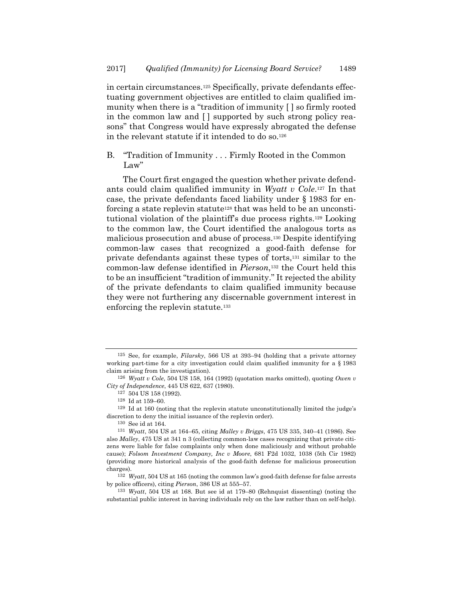in certain circumstances.125 Specifically, private defendants effectuating government objectives are entitled to claim qualified immunity when there is a "tradition of immunity [ ] so firmly rooted in the common law and [ ] supported by such strong policy reasons" that Congress would have expressly abrogated the defense in the relevant statute if it intended to do so.<sup>126</sup>

B. "Tradition of Immunity . . . Firmly Rooted in the Common Law"

The Court first engaged the question whether private defendants could claim qualified immunity in *Wyatt v Cole*.127 In that case, the private defendants faced liability under § 1983 for enforcing a state replevin statute<sup>128</sup> that was held to be an unconstitutional violation of the plaintiff's due process rights.129 Looking to the common law, the Court identified the analogous torts as malicious prosecution and abuse of process.130 Despite identifying common-law cases that recognized a good-faith defense for private defendants against these types of torts,131 similar to the common-law defense identified in *Pierson*,132 the Court held this to be an insufficient "tradition of immunity." It rejected the ability of the private defendants to claim qualified immunity because they were not furthering any discernable government interest in enforcing the replevin statute.<sup>133</sup>

<sup>125</sup> See, for example, *Filarsky*, 566 US at 393–94 (holding that a private attorney working part-time for a city investigation could claim qualified immunity for a § 1983 claim arising from the investigation).

<sup>126</sup> *Wyatt v Cole*, 504 US 158, 164 (1992) (quotation marks omitted), quoting *Owen v City of Independence*, 445 US 622, 637 (1980).

 $^{127}\,$  504 US 158 (1992).

<sup>128</sup> Id at 159–60.

<sup>129</sup> Id at 160 (noting that the replevin statute unconstitutionally limited the judge's discretion to deny the initial issuance of the replevin order).

<sup>130</sup> See id at 164. 131 *Wyatt*, 504 US at 164–65, citing *Malley v Briggs*, 475 US 335, 340–41 (1986). See also *Malley*, 475 US at 341 n 3 (collecting common-law cases recognizing that private citizens were liable for false complaints only when done maliciously and without probable cause); *Folsom Investment Company, Inc v Moore*, 681 F2d 1032, 1038 (5th Cir 1982) (providing more historical analysis of the good-faith defense for malicious prosecution charges).

<sup>132</sup> *Wyatt*, 504 US at 165 (noting the common law's good-faith defense for false arrests by police officers), citing *Pierson*, 386 US at 555–57.

<sup>133</sup> *Wyatt*, 504 US at 168. But see id at 179–80 (Rehnquist dissenting) (noting the substantial public interest in having individuals rely on the law rather than on self-help).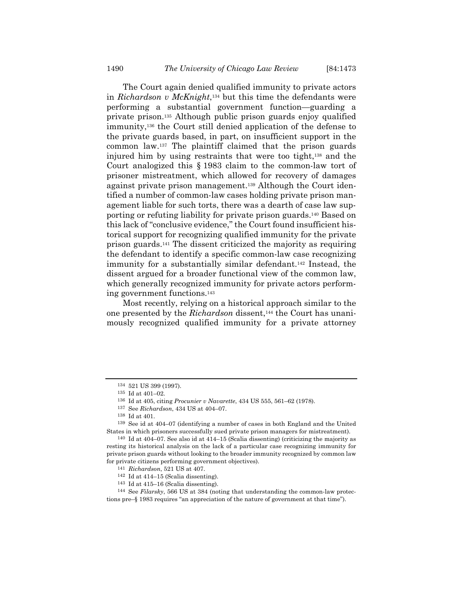The Court again denied qualified immunity to private actors in *Richardson v McKnight*,134 but this time the defendants were performing a substantial government function—guarding a private prison.135 Although public prison guards enjoy qualified immunity,136 the Court still denied application of the defense to the private guards based, in part, on insufficient support in the common law.137 The plaintiff claimed that the prison guards injured him by using restraints that were too tight,138 and the Court analogized this § 1983 claim to the common-law tort of prisoner mistreatment, which allowed for recovery of damages against private prison management.139 Although the Court identified a number of common-law cases holding private prison management liable for such torts, there was a dearth of case law supporting or refuting liability for private prison guards.140 Based on this lack of "conclusive evidence," the Court found insufficient historical support for recognizing qualified immunity for the private prison guards.141 The dissent criticized the majority as requiring the defendant to identify a specific common-law case recognizing immunity for a substantially similar defendant.<sup>142</sup> Instead, the dissent argued for a broader functional view of the common law, which generally recognized immunity for private actors performing government functions.143

Most recently, relying on a historical approach similar to the one presented by the *Richardson* dissent,144 the Court has unanimously recognized qualified immunity for a private attorney

137 See *Richardson*, 434 US at 404–07.

<sup>134 521</sup> US 399 (1997).

 $^{135}\,$  Id at 401–02.

<sup>136</sup> Id at 405, citing *Procunier v Navarette*, 434 US 555, 561–62 (1978).

<sup>138</sup> Id at 401.

<sup>139</sup> See id at 404–07 (identifying a number of cases in both England and the United States in which prisoners successfully sued private prison managers for mistreatment).

<sup>140</sup> Id at 404–07. See also id at 414–15 (Scalia dissenting) (criticizing the majority as resting its historical analysis on the lack of a particular case recognizing immunity for private prison guards without looking to the broader immunity recognized by common law for private citizens performing government objectives).

<sup>141</sup> *Richardson*, 521 US at 407. 142 Id at 414–15 (Scalia dissenting).

<sup>143</sup> Id at 415–16 (Scalia dissenting).

<sup>144</sup> See *Filarsky*, 566 US at 384 (noting that understanding the common-law protections pre–§ 1983 requires "an appreciation of the nature of government at that time").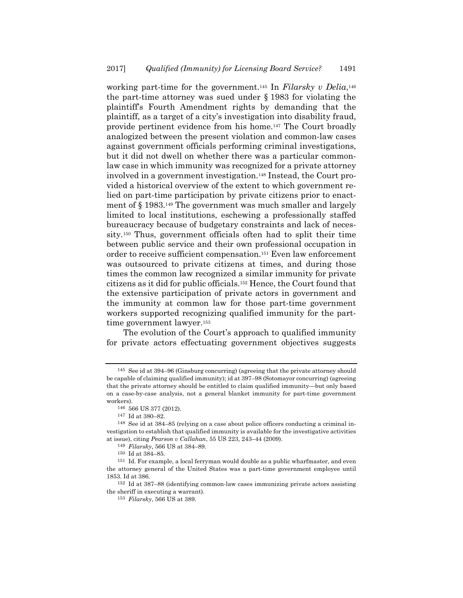working part-time for the government.145 In *Filarsky v Delia*,146 the part-time attorney was sued under § 1983 for violating the plaintiff's Fourth Amendment rights by demanding that the plaintiff, as a target of a city's investigation into disability fraud, provide pertinent evidence from his home.147 The Court broadly analogized between the present violation and common-law cases against government officials performing criminal investigations, but it did not dwell on whether there was a particular commonlaw case in which immunity was recognized for a private attorney involved in a government investigation.148 Instead, the Court provided a historical overview of the extent to which government relied on part-time participation by private citizens prior to enactment of § 1983.149 The government was much smaller and largely limited to local institutions, eschewing a professionally staffed bureaucracy because of budgetary constraints and lack of necessity.150 Thus, government officials often had to split their time between public service and their own professional occupation in order to receive sufficient compensation.151 Even law enforcement was outsourced to private citizens at times, and during those times the common law recognized a similar immunity for private citizens as it did for public officials.152 Hence, the Court found that the extensive participation of private actors in government and the immunity at common law for those part-time government workers supported recognizing qualified immunity for the parttime government lawyer.<sup>153</sup>

 The evolution of the Court's approach to qualified immunity for private actors effectuating government objectives suggests

<sup>145</sup> See id at 394–96 (Ginsburg concurring) (agreeing that the private attorney should be capable of claiming qualified immunity); id at 397–98 (Sotomayor concurring) (agreeing that the private attorney should be entitled to claim qualified immunity—but only based on a case-by-case analysis, not a general blanket immunity for part-time government workers).

<sup>146 566</sup> US 377 (2012).

<sup>147</sup> Id at 380–82.

<sup>148</sup> See id at 384–85 (relying on a case about police officers conducting a criminal investigation to establish that qualified immunity is available for the investigative activities at issue), citing *Pearson v Callahan*, 55 US 223, 243–44 (2009).

<sup>149</sup> *Filarsky*, 566 US at 384–89.

<sup>150</sup> Id at 384–85.

<sup>151</sup> Id. For example, a local ferryman would double as a public wharfmaster, and even the attorney general of the United States was a part-time government employee until 1853. Id at 386.

<sup>152</sup> Id at 387–88 (identifying common-law cases immunizing private actors assisting the sheriff in executing a warrant).

<sup>153</sup> *Filarsky*, 566 US at 389.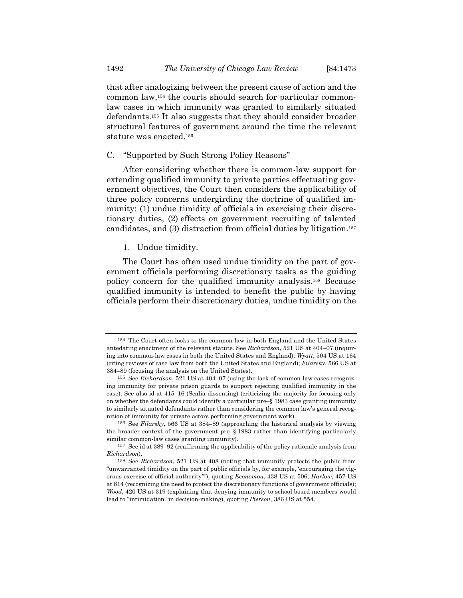that after analogizing between the present cause of action and the common law,154 the courts should search for particular commonlaw cases in which immunity was granted to similarly situated defendants.155 It also suggests that they should consider broader structural features of government around the time the relevant statute was enacted.156

#### C. "Supported by Such Strong Policy Reasons"

After considering whether there is common-law support for extending qualified immunity to private parties effectuating government objectives, the Court then considers the applicability of three policy concerns undergirding the doctrine of qualified immunity: (1) undue timidity of officials in exercising their discretionary duties, (2) effects on government recruiting of talented candidates, and (3) distraction from official duties by litigation.157

#### 1. Undue timidity.

The Court has often used undue timidity on the part of government officials performing discretionary tasks as the guiding policy concern for the qualified immunity analysis.158 Because qualified immunity is intended to benefit the public by having officials perform their discretionary duties, undue timidity on the

<sup>154</sup> The Court often looks to the common law in both England and the United States antedating enactment of the relevant statute. See *Richardson*, 521 US at 404–07 (inquiring into common-law cases in both the United States and England); *Wyatt*, 504 US at 164 (citing reviews of case law from both the United States and England); *Filarsky*, 566 US at 384–89 (focusing the analysis on the United States).

<sup>155</sup> See *Richardson*, 521 US at 404–07 (using the lack of common-law cases recognizing immunity for private prison guards to support rejecting qualified immunity in the case). See also id at 415–16 (Scalia dissenting) (criticizing the majority for focusing only on whether the defendants could identify a particular pre–§ 1983 case granting immunity to similarly situated defendants rather than considering the common law's general recognition of immunity for private actors performing government work).

<sup>156</sup> See *Filarsky*, 566 US at 384–89 (approaching the historical analysis by viewing the broader context of the government pre–§ 1983 rather than identifying particularly similar common-law cases granting immunity).

<sup>157</sup> See id at 389–92 (reaffirming the applicability of the policy rationale analysis from *Richardson*).

<sup>158</sup> See *Richardson*, 521 US at 408 (noting that immunity protects the public from "unwarranted timidity on the part of public officials by, for example, 'encouraging the vigorous exercise of official authority'"), quoting *Economou*, 438 US at 506; *Harlow*, 457 US at 814 (recognizing the need to protect the discretionary functions of government officials); *Wood*, 420 US at 319 (explaining that denying immunity to school board members would lead to "intimidation" in decision-making), quoting *Pierson*, 386 US at 554.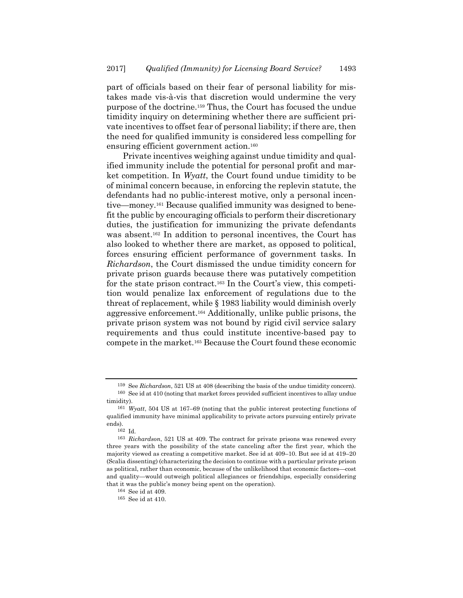part of officials based on their fear of personal liability for mistakes made vis-à-vis that discretion would undermine the very purpose of the doctrine.159 Thus, the Court has focused the undue timidity inquiry on determining whether there are sufficient private incentives to offset fear of personal liability; if there are, then the need for qualified immunity is considered less compelling for ensuring efficient government action.160

Private incentives weighing against undue timidity and qualified immunity include the potential for personal profit and market competition. In *Wyatt*, the Court found undue timidity to be of minimal concern because, in enforcing the replevin statute, the defendants had no public-interest motive, only a personal incentive—money.161 Because qualified immunity was designed to benefit the public by encouraging officials to perform their discretionary duties, the justification for immunizing the private defendants was absent.162 In addition to personal incentives, the Court has also looked to whether there are market, as opposed to political, forces ensuring efficient performance of government tasks. In *Richardson*, the Court dismissed the undue timidity concern for private prison guards because there was putatively competition for the state prison contract.163 In the Court's view, this competition would penalize lax enforcement of regulations due to the threat of replacement, while § 1983 liability would diminish overly aggressive enforcement.164 Additionally, unlike public prisons, the private prison system was not bound by rigid civil service salary requirements and thus could institute incentive-based pay to compete in the market.165 Because the Court found these economic

<sup>159</sup> See *Richardson*, 521 US at 408 (describing the basis of the undue timidity concern). 160 See id at 410 (noting that market forces provided sufficient incentives to allay undue

timidity).

<sup>161</sup> *Wyatt*, 504 US at 167–69 (noting that the public interest protecting functions of qualified immunity have minimal applicability to private actors pursuing entirely private ends).

<sup>162</sup> Id.

<sup>163</sup> *Richardson*, 521 US at 409. The contract for private prisons was renewed every three years with the possibility of the state canceling after the first year, which the majority viewed as creating a competitive market. See id at 409–10. But see id at 419–20 (Scalia dissenting) (characterizing the decision to continue with a particular private prison as political, rather than economic, because of the unlikelihood that economic factors—cost and quality—would outweigh political allegiances or friendships, especially considering that it was the public's money being spent on the operation).

<sup>164</sup> See id at 409. 165 See id at 410.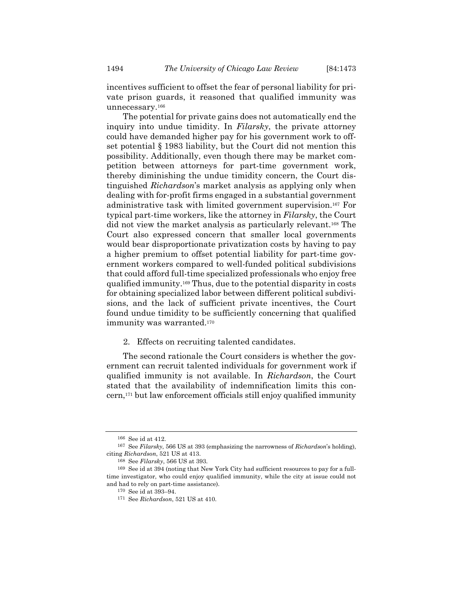incentives sufficient to offset the fear of personal liability for private prison guards, it reasoned that qualified immunity was unnecessary.166

The potential for private gains does not automatically end the inquiry into undue timidity. In *Filarsky*, the private attorney could have demanded higher pay for his government work to offset potential § 1983 liability, but the Court did not mention this possibility. Additionally, even though there may be market competition between attorneys for part-time government work, thereby diminishing the undue timidity concern, the Court distinguished *Richardson*'s market analysis as applying only when dealing with for-profit firms engaged in a substantial government administrative task with limited government supervision.167 For typical part-time workers, like the attorney in *Filarsky*, the Court did not view the market analysis as particularly relevant.168 The Court also expressed concern that smaller local governments would bear disproportionate privatization costs by having to pay a higher premium to offset potential liability for part-time government workers compared to well-funded political subdivisions that could afford full-time specialized professionals who enjoy free qualified immunity.169 Thus, due to the potential disparity in costs for obtaining specialized labor between different political subdivisions, and the lack of sufficient private incentives, the Court found undue timidity to be sufficiently concerning that qualified immunity was warranted.<sup>170</sup>

2. Effects on recruiting talented candidates.

The second rationale the Court considers is whether the government can recruit talented individuals for government work if qualified immunity is not available. In *Richardson*, the Court stated that the availability of indemnification limits this concern,171 but law enforcement officials still enjoy qualified immunity

<sup>166</sup> See id at 412.

<sup>167</sup> See *Filarsky*, 566 US at 393 (emphasizing the narrowness of *Richardson*'s holding), citing *Richardson*, 521 US at 413.

<sup>168</sup> See *Filarsky*, 566 US at 393.

<sup>169</sup> See id at 394 (noting that New York City had sufficient resources to pay for a fulltime investigator, who could enjoy qualified immunity, while the city at issue could not and had to rely on part-time assistance).

<sup>170</sup> See id at 393–94. 171 See *Richardson*, 521 US at 410.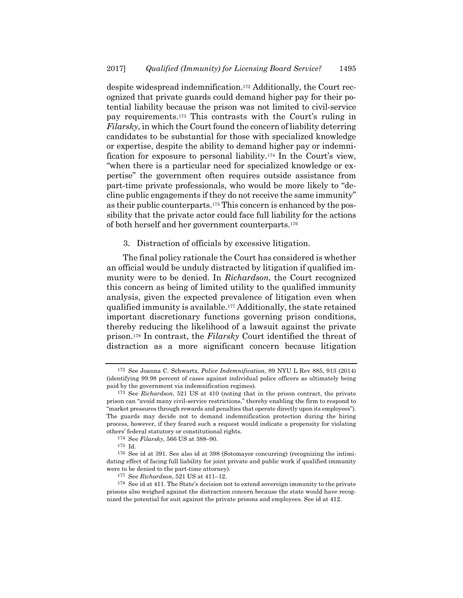despite widespread indemnification.172 Additionally, the Court recognized that private guards could demand higher pay for their potential liability because the prison was not limited to civil-service pay requirements.173 This contrasts with the Court's ruling in *Filarsky*, in which the Court found the concern of liability deterring candidates to be substantial for those with specialized knowledge or expertise, despite the ability to demand higher pay or indemnification for exposure to personal liability.174 In the Court's view, "when there is a particular need for specialized knowledge or expertise" the government often requires outside assistance from part-time private professionals, who would be more likely to "decline public engagements if they do not receive the same immunity" as their public counterparts.175 This concern is enhanced by the possibility that the private actor could face full liability for the actions of both herself and her government counterparts.176

#### 3. Distraction of officials by excessive litigation.

The final policy rationale the Court has considered is whether an official would be unduly distracted by litigation if qualified immunity were to be denied. In *Richardson*, the Court recognized this concern as being of limited utility to the qualified immunity analysis, given the expected prevalence of litigation even when qualified immunity is available.177 Additionally, the state retained important discretionary functions governing prison conditions, thereby reducing the likelihood of a lawsuit against the private prison.178 In contrast, the *Filarsky* Court identified the threat of distraction as a more significant concern because litigation

<sup>172</sup> See Joanna C. Schwartz, *Police Indemnification*, 89 NYU L Rev 885, 913 (2014) (identifying 99.98 percent of cases against individual police officers as ultimately being paid by the government via indemnification regimes).

<sup>173</sup> See *Richardson*, 521 US at 410 (noting that in the prison contract, the private prison can "avoid many civil-service restrictions," thereby enabling the firm to respond to "market pressures through rewards and penalties that operate directly upon its employees"). The guards may decide not to demand indemnification protection during the hiring process, however, if they feared such a request would indicate a propensity for violating others' federal statutory or constitutional rights.

<sup>174</sup> See *Filarsky*, 566 US at 388–90.

 $176$  See id at 391. See also id at 398 (Sotomayor concurring) (recognizing the intimidating effect of facing full liability for joint private and public work if qualified immunity were to be denied to the part-time attorney).

<sup>177</sup> See *Richardson*, 521 US at 411–12.

<sup>178</sup> See id at 411. The State's decision not to extend sovereign immunity to the private prisons also weighed against the distraction concern because the state would have recognized the potential for suit against the private prisons and employees. See id at 412.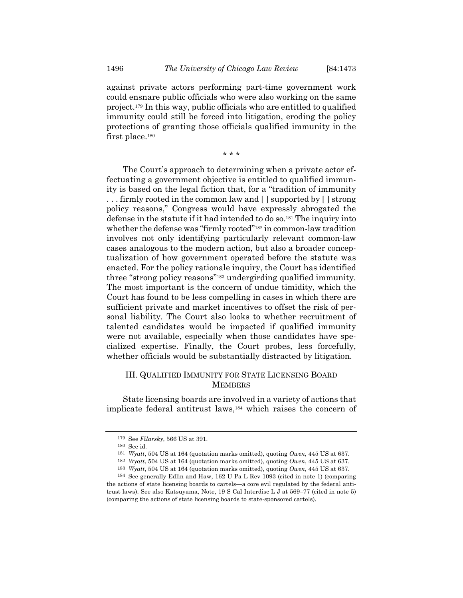against private actors performing part-time government work could ensnare public officials who were also working on the same project.179 In this way, public officials who are entitled to qualified immunity could still be forced into litigation, eroding the policy protections of granting those officials qualified immunity in the first place.<sup>180</sup>

\* \* \*

The Court's approach to determining when a private actor effectuating a government objective is entitled to qualified immunity is based on the legal fiction that, for a "tradition of immunity . . . firmly rooted in the common law and [ ] supported by [ ] strong policy reasons," Congress would have expressly abrogated the defense in the statute if it had intended to do so.181 The inquiry into whether the defense was "firmly rooted"<sup>182</sup> in common-law tradition involves not only identifying particularly relevant common-law cases analogous to the modern action, but also a broader conceptualization of how government operated before the statute was enacted. For the policy rationale inquiry, the Court has identified three "strong policy reasons"183 undergirding qualified immunity. The most important is the concern of undue timidity, which the Court has found to be less compelling in cases in which there are sufficient private and market incentives to offset the risk of personal liability. The Court also looks to whether recruitment of talented candidates would be impacted if qualified immunity were not available, especially when those candidates have specialized expertise. Finally, the Court probes, less forcefully, whether officials would be substantially distracted by litigation.

# III. QUALIFIED IMMUNITY FOR STATE LICENSING BOARD **MEMBERS**

State licensing boards are involved in a variety of actions that implicate federal antitrust laws,184 which raises the concern of

<sup>179</sup> See *Filarsky*, 566 US at 391.

<sup>180</sup> See id. 181 *Wyatt*, 504 US at 164 (quotation marks omitted), quoting *Owen*, 445 US at 637.

<sup>182</sup> *Wyatt*, 504 US at 164 (quotation marks omitted), quoting *Owen*, 445 US at 637.

<sup>183</sup> *Wyatt*, 504 US at 164 (quotation marks omitted), quoting *Owen*, 445 US at 637. 184 See generally Edlin and Haw, 162 U Pa L Rev 1093 (cited in note 1) (comparing

the actions of state licensing boards to cartels—a core evil regulated by the federal antitrust laws). See also Katsuyama, Note, 19 S Cal Interdisc L J at 569–77 (cited in note 5) (comparing the actions of state licensing boards to state-sponsored cartels).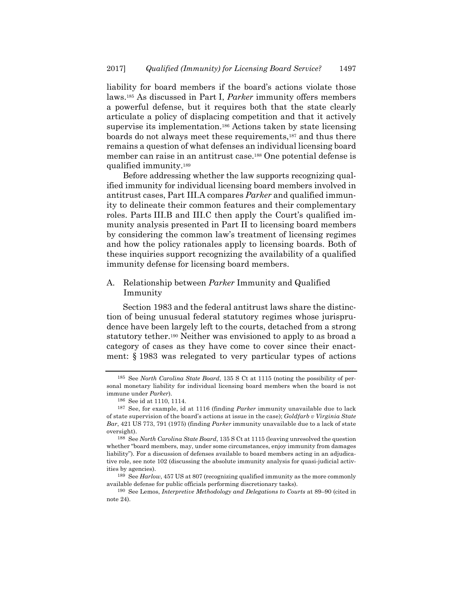liability for board members if the board's actions violate those laws.185 As discussed in Part I, *Parker* immunity offers members a powerful defense, but it requires both that the state clearly articulate a policy of displacing competition and that it actively supervise its implementation.186 Actions taken by state licensing boards do not always meet these requirements,187 and thus there remains a question of what defenses an individual licensing board member can raise in an antitrust case.188 One potential defense is qualified immunity.189

Before addressing whether the law supports recognizing qualified immunity for individual licensing board members involved in antitrust cases, Part III.A compares *Parker* and qualified immunity to delineate their common features and their complementary roles. Parts III.B and III.C then apply the Court's qualified immunity analysis presented in Part II to licensing board members by considering the common law's treatment of licensing regimes and how the policy rationales apply to licensing boards. Both of these inquiries support recognizing the availability of a qualified immunity defense for licensing board members.

# A. Relationship between *Parker* Immunity and Qualified Immunity

Section 1983 and the federal antitrust laws share the distinction of being unusual federal statutory regimes whose jurisprudence have been largely left to the courts, detached from a strong statutory tether.190 Neither was envisioned to apply to as broad a category of cases as they have come to cover since their enactment: § 1983 was relegated to very particular types of actions

<sup>185</sup> See *North Carolina State Board*, 135 S Ct at 1115 (noting the possibility of personal monetary liability for individual licensing board members when the board is not immune under *Parker*).

<sup>186</sup> See id at 1110, 1114.

<sup>187</sup> See, for example, id at 1116 (finding *Parker* immunity unavailable due to lack of state supervision of the board's actions at issue in the case); *Goldfarb v Virginia State Bar*, 421 US 773, 791 (1975) (finding *Parker* immunity unavailable due to a lack of state oversight).

<sup>188</sup> See *North Carolina State Board*, 135 S Ct at 1115 (leaving unresolved the question whether "board members, may, under some circumstances, enjoy immunity from damages liability"). For a discussion of defenses available to board members acting in an adjudicative role, see note 102 (discussing the absolute immunity analysis for quasi-judicial activities by agencies).

<sup>189</sup> See *Harlow*, 457 US at 807 (recognizing qualified immunity as the more commonly available defense for public officials performing discretionary tasks).

<sup>190</sup> See Lemos, *Interpretive Methodology and Delegations to Courts* at 89–90 (cited in note 24).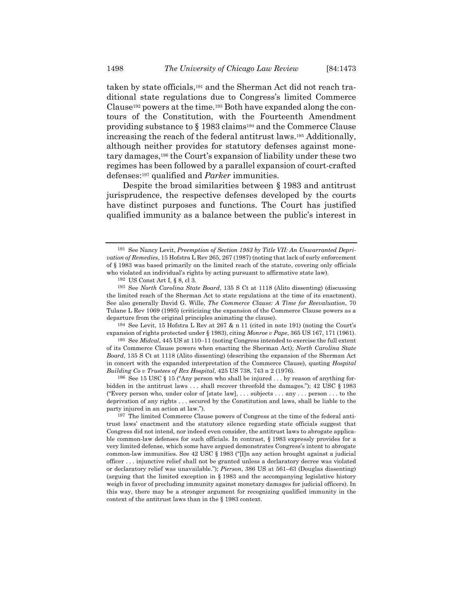taken by state officials,191 and the Sherman Act did not reach traditional state regulations due to Congress's limited Commerce Clause192 powers at the time.193 Both have expanded along the contours of the Constitution, with the Fourteenth Amendment providing substance to § 1983 claims194 and the Commerce Clause increasing the reach of the federal antitrust laws.195 Additionally, although neither provides for statutory defenses against monetary damages,196 the Court's expansion of liability under these two regimes has been followed by a parallel expansion of court-crafted defenses:197 qualified and *Parker* immunities.

Despite the broad similarities between § 1983 and antitrust jurisprudence, the respective defenses developed by the courts have distinct purposes and functions. The Court has justified qualified immunity as a balance between the public's interest in

194 See Levit, 15 Hofstra L Rev at 267 & n 11 (cited in note 191) (noting the Court's expansion of rights protected under § 1983), citing *Monroe v Pape*, 365 US 167, 171 (1961).

195 See *Midcal*, 445 US at 110–11 (noting Congress intended to exercise the full extent of its Commerce Clause powers when enacting the Sherman Act); *North Carolina State Board*, 135 S Ct at 1118 (Alito dissenting) (describing the expansion of the Sherman Act in concert with the expanded interpretation of the Commerce Clause), quoting *Hospital Building Co v Trustees of Rex Hospital*, 425 US 738, 743 n 2 (1976).

196 See 15 USC § 15 ("Any person who shall be injured . . . by reason of anything forbidden in the antitrust laws . . . shall recover threefold the damages."); 42 USC § 1983 ("Every person who, under color of [state law], . . . subjects . . . any . . . person . . . to the deprivation of any rights . . . secured by the Constitution and laws, shall be liable to the party injured in an action at law.").

<sup>191</sup> See Nancy Levit, *Preemption of Section 1983 by Title VII: An Unwarranted Deprivation of Remedies*, 15 Hofstra L Rev 265, 267 (1987) (noting that lack of early enforcement of § 1983 was based primarily on the limited reach of the statute, covering only officials who violated an individual's rights by acting pursuant to affirmative state law).

<sup>192</sup> US Const Art I, § 8, cl 3.

<sup>193</sup> See *North Carolina State Board*, 135 S Ct at 1118 (Alito dissenting) (discussing the limited reach of the Sherman Act to state regulations at the time of its enactment). See also generally David G. Wille, *The Commerce Clause: A Time for Reevaluation*, 70 Tulane L Rev 1069 (1995) (criticizing the expansion of the Commerce Clause powers as a departure from the original principles animating the clause).

<sup>197</sup> The limited Commerce Clause powers of Congress at the time of the federal antitrust laws' enactment and the statutory silence regarding state officials suggest that Congress did not intend, nor indeed even consider, the antitrust laws to abrogate applicable common-law defenses for such officials. In contrast, § 1983 expressly provides for a very limited defense, which some have argued demonstrates Congress's intent to abrogate common-law immunities. See 42 USC § 1983 (" $\Pi$ ]n any action brought against a judicial officer . . . injunctive relief shall not be granted unless a declaratory decree was violated or declaratory relief was unavailable."); *Pierson*, 386 US at 561–63 (Douglas dissenting) (arguing that the limited exception in § 1983 and the accompanying legislative history weigh in favor of precluding immunity against monetary damages for judicial officers). In this way, there may be a stronger argument for recognizing qualified immunity in the context of the antitrust laws than in the § 1983 context.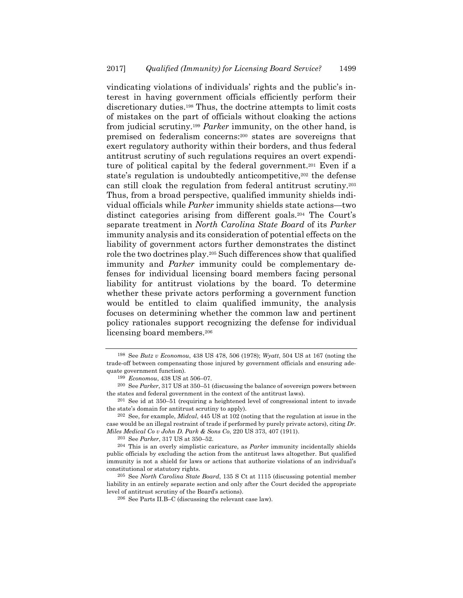vindicating violations of individuals' rights and the public's interest in having government officials efficiently perform their discretionary duties.198 Thus, the doctrine attempts to limit costs of mistakes on the part of officials without cloaking the actions from judicial scrutiny.199 *Parker* immunity, on the other hand, is premised on federalism concerns:200 states are sovereigns that exert regulatory authority within their borders, and thus federal antitrust scrutiny of such regulations requires an overt expenditure of political capital by the federal government.<sup>201</sup> Even if a state's regulation is undoubtedly anticompetitive,<sup>202</sup> the defense can still cloak the regulation from federal antitrust scrutiny.203 Thus, from a broad perspective, qualified immunity shields individual officials while *Parker* immunity shields state actions—two distinct categories arising from different goals.204 The Court's separate treatment in *North Carolina State Board* of its *Parker* immunity analysis and its consideration of potential effects on the liability of government actors further demonstrates the distinct role the two doctrines play.205 Such differences show that qualified immunity and *Parker* immunity could be complementary defenses for individual licensing board members facing personal liability for antitrust violations by the board. To determine whether these private actors performing a government function would be entitled to claim qualified immunity, the analysis focuses on determining whether the common law and pertinent policy rationales support recognizing the defense for individual licensing board members.206

203 See *Parker*, 317 US at 350–52.

<sup>198</sup> See *Butz v Economou*, 438 US 478, 506 (1978); *Wyatt*, 504 US at 167 (noting the trade-off between compensating those injured by government officials and ensuring adequate government function).

<sup>199</sup> *Economou*, 438 US at 506–07.

<sup>200</sup> See *Parker*, 317 US at 350–51 (discussing the balance of sovereign powers between the states and federal government in the context of the antitrust laws).

<sup>201</sup> See id at 350–51 (requiring a heightened level of congressional intent to invade the state's domain for antitrust scrutiny to apply).

<sup>202</sup> See, for example, *Midcal*, 445 US at 102 (noting that the regulation at issue in the case would be an illegal restraint of trade if performed by purely private actors), citing *Dr. Miles Medical Co v John D. Park & Sons Co*, 220 US 373, 407 (1911).

<sup>204</sup> This is an overly simplistic caricature, as *Parker* immunity incidentally shields public officials by excluding the action from the antitrust laws altogether. But qualified immunity is not a shield for laws or actions that authorize violations of an individual's constitutional or statutory rights.

<sup>205</sup> See *North Carolina State Board*, 135 S Ct at 1115 (discussing potential member liability in an entirely separate section and only after the Court decided the appropriate level of antitrust scrutiny of the Board's actions).

<sup>206</sup> See Parts II.B–C (discussing the relevant case law).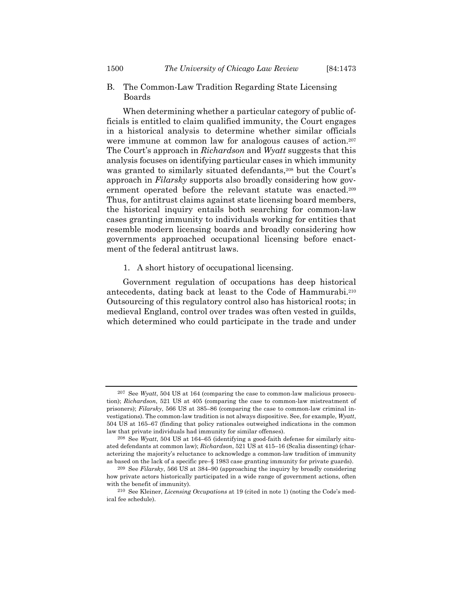B. The Common-Law Tradition Regarding State Licensing Boards

When determining whether a particular category of public officials is entitled to claim qualified immunity, the Court engages in a historical analysis to determine whether similar officials were immune at common law for analogous causes of action.<sup>207</sup> The Court's approach in *Richardson* and *Wyatt* suggests that this analysis focuses on identifying particular cases in which immunity was granted to similarly situated defendants,<sup>208</sup> but the Court's approach in *Filarsky* supports also broadly considering how government operated before the relevant statute was enacted.209 Thus, for antitrust claims against state licensing board members, the historical inquiry entails both searching for common-law cases granting immunity to individuals working for entities that resemble modern licensing boards and broadly considering how governments approached occupational licensing before enactment of the federal antitrust laws.

#### 1. A short history of occupational licensing.

Government regulation of occupations has deep historical antecedents, dating back at least to the Code of Hammurabi.210 Outsourcing of this regulatory control also has historical roots; in medieval England, control over trades was often vested in guilds, which determined who could participate in the trade and under

<sup>207</sup> See *Wyatt*, 504 US at 164 (comparing the case to common-law malicious prosecution); *Richardson*, 521 US at 405 (comparing the case to common-law mistreatment of prisoners); *Filarsky*, 566 US at 385–86 (comparing the case to common-law criminal investigations). The common-law tradition is not always dispositive. See, for example, *Wyatt*, 504 US at 165–67 (finding that policy rationales outweighed indications in the common law that private individuals had immunity for similar offenses).

<sup>208</sup> See *Wyatt*, 504 US at 164–65 (identifying a good-faith defense for similarly situated defendants at common law); *Richardson*, 521 US at 415–16 (Scalia dissenting) (characterizing the majority's reluctance to acknowledge a common-law tradition of immunity as based on the lack of a specific pre–§ 1983 case granting immunity for private guards).

<sup>209</sup> See *Filarsky*, 566 US at 384–90 (approaching the inquiry by broadly considering how private actors historically participated in a wide range of government actions, often with the benefit of immunity).

<sup>210</sup> See Kleiner, *Licensing Occupations* at 19 (cited in note 1) (noting the Code's medical fee schedule).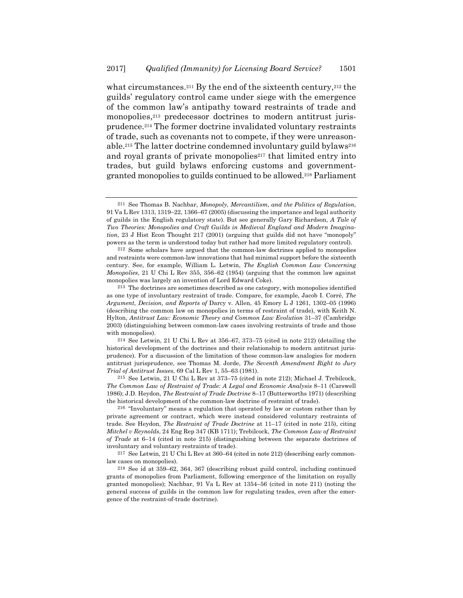what circumstances.<sup>211</sup> By the end of the sixteenth century,<sup>212</sup> the guilds' regulatory control came under siege with the emergence of the common law's antipathy toward restraints of trade and monopolies,<sup>213</sup> predecessor doctrines to modern antitrust jurisprudence.214 The former doctrine invalidated voluntary restraints of trade, such as covenants not to compete, if they were unreasonable.<sup>215</sup> The latter doctrine condemned involuntary guild bylaws<sup>216</sup> and royal grants of private monopolies<sup>217</sup> that limited entry into trades, but guild bylaws enforcing customs and governmentgranted monopolies to guilds continued to be allowed.218 Parliament

 $214$  See Letwin, 21 U Chi L Rev at 356–67, 373–75 (cited in note 212) (detailing the historical development of the doctrines and their relationship to modern antitrust jurisprudence). For a discussion of the limitation of these common-law analogies for modern antitrust jurisprudence, see Thomas M. Jorde, *The Seventh Amendment Right to Jury Trial of Antitrust Issues*, 69 Cal L Rev 1, 55–63 (1981).

215 See Letwin, 21 U Chi L Rev at 373–75 (cited in note 212); Michael J. Trebilcock, *The Common Law of Restraint of Trade: A Legal and Economic Analysis* 8–11 (Carswell 1986); J.D. Heydon, *The Restraint of Trade Doctrine* 8–17 (Butterworths 1971) (describing the historical development of the common-law doctrine of restraint of trade).

216 "Involuntary" means a regulation that operated by law or custom rather than by private agreement or contract, which were instead considered voluntary restraints of trade. See Heydon, *The Restraint of Trade Doctrine* at 11–17 (cited in note 215), citing *Mitchel v Reynolds*, 24 Eng Rep 347 (KB 1711); Trebilcock, *The Common Law of Restraint of Trade* at 6–14 (cited in note 215) (distinguishing between the separate doctrines of involuntary and voluntary restraints of trade).

<sup>217</sup> See Letwin, 21 U Chi L Rev at  $360-64$  (cited in note 212) (describing early commonlaw cases on monopolies).

218 See id at 359–62, 364, 367 (describing robust guild control, including continued grants of monopolies from Parliament, following emergence of the limitation on royally granted monopolies); Nachbar, 91 Va L Rev at 1354–56 (cited in note 211) (noting the general success of guilds in the common law for regulating trades, even after the emergence of the restraint-of-trade doctrine).

<sup>211</sup> See Thomas B. Nachbar, *Monopoly, Mercantilism, and the Politics of Regulation*, 91 Va L Rev 1313, 1319–22, 1366–67 (2005) (discussing the importance and legal authority of guilds in the English regulatory state). But see generally Gary Richardson, *A Tale of Two Theories: Monopolies and Craft Guilds in Medieval England and Modern Imagination*, 23 J Hist Econ Thought 217 (2001) (arguing that guilds did not have "monopoly" powers as the term is understood today but rather had more limited regulatory control).

<sup>212</sup> Some scholars have argued that the common-law doctrines applied to monopolies and restraints were common-law innovations that had minimal support before the sixteenth century. See, for example, William L. Letwin, *The English Common Law Concerning Monopolies*, 21 U Chi L Rev 355, 356–62 (1954) (arguing that the common law against monopolies was largely an invention of Lord Edward Coke).

<sup>213</sup> The doctrines are sometimes described as one category, with monopolies identified as one type of involuntary restraint of trade. Compare, for example, Jacob I. Corré, *The Argument, Decision, and Reports of* Darcy v. Allen, 45 Emory L J 1261, 1302–05 (1996) (describing the common law on monopolies in terms of restraint of trade), with Keith N. Hylton, *Antitrust Law: Economic Theory and Common Law Evolution* 31–37 (Cambridge 2003) (distinguishing between common-law cases involving restraints of trade and those with monopolies).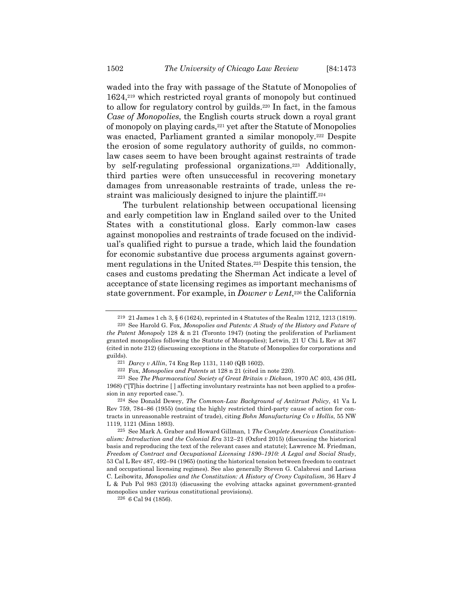waded into the fray with passage of the Statute of Monopolies of 1624,219 which restricted royal grants of monopoly but continued to allow for regulatory control by guilds.220 In fact, in the famous *Case of Monopolies*, the English courts struck down a royal grant of monopoly on playing cards,221 yet after the Statute of Monopolies was enacted, Parliament granted a similar monopoly.<sup>222</sup> Despite the erosion of some regulatory authority of guilds, no commonlaw cases seem to have been brought against restraints of trade by self-regulating professional organizations.<sup>223</sup> Additionally, third parties were often unsuccessful in recovering monetary damages from unreasonable restraints of trade, unless the restraint was maliciously designed to injure the plaintiff.<sup>224</sup>

The turbulent relationship between occupational licensing and early competition law in England sailed over to the United States with a constitutional gloss. Early common-law cases against monopolies and restraints of trade focused on the individual's qualified right to pursue a trade, which laid the foundation for economic substantive due process arguments against government regulations in the United States.225 Despite this tension, the cases and customs predating the Sherman Act indicate a level of acceptance of state licensing regimes as important mechanisms of state government. For example, in *Downer v Lent*,<sup>226</sup> the California

<sup>219 21</sup> James 1 ch 3, § 6 (1624), reprinted in 4 Statutes of the Realm 1212, 1213 (1819).

<sup>220</sup> See Harold G. Fox, *Monopolies and Patents: A Study of the History and Future of the Patent Monopoly* 128 & n 21 (Toronto 1947) (noting the proliferation of Parliament granted monopolies following the Statute of Monopolies); Letwin, 21 U Chi L Rev at 367 (cited in note 212) (discussing exceptions in the Statute of Monopolies for corporations and guilds).

<sup>221</sup> *Darcy v Allin*, 74 Eng Rep 1131, 1140 (QB 1602).

<sup>222</sup> Fox, *Monopolies and Patents* at 128 n 21 (cited in note 220).

<sup>223</sup> See *The Pharmaceutical Society of Great Britain v Dickson*, 1970 AC 403, 436 (HL 1968) ("[T]his doctrine [ ] affecting involuntary restraints has not been applied to a profession in any reported case.").

<sup>224</sup> See Donald Dewey, *The Common-Law Background of Antitrust Policy*, 41 Va L Rev 759, 784–86 (1955) (noting the highly restricted third-party cause of action for contracts in unreasonable restraint of trade), citing *Bohn Manufacturing Co v Hollis*, 55 NW 1119, 1121 (Minn 1893).

<sup>225</sup> See Mark A. Graber and Howard Gillman, 1 *The Complete American Constitutionalism: Introduction and the Colonial Era* 312–21 (Oxford 2015) (discussing the historical basis and reproducing the text of the relevant cases and statute); Lawrence M. Friedman, *Freedom of Contract and Occupational Licensing 1890–1910: A Legal and Social Study*, 53 Cal L Rev 487, 492–94 (1965) (noting the historical tension between freedom to contract and occupational licensing regimes). See also generally Steven G. Calabresi and Larissa C. Leibowitz, *Monopolies and the Constitution: A History of Crony Capitalism*, 36 Harv J L & Pub Pol 983 (2013) (discussing the evolving attacks against government-granted monopolies under various constitutional provisions).

<sup>226 6</sup> Cal 94 (1856).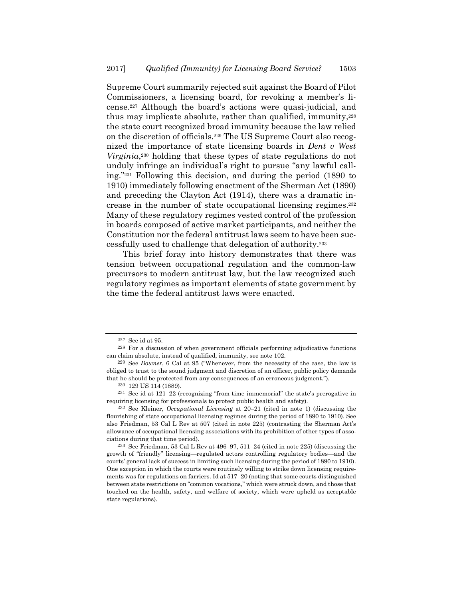Supreme Court summarily rejected suit against the Board of Pilot Commissioners, a licensing board, for revoking a member's license.227 Although the board's actions were quasi-judicial, and thus may implicate absolute, rather than qualified, immunity,  $228$ the state court recognized broad immunity because the law relied on the discretion of officials.229 The US Supreme Court also recognized the importance of state licensing boards in *Dent v West Virginia*<sup>230</sup> holding that these types of state regulations do not unduly infringe an individual's right to pursue "any lawful calling."231 Following this decision, and during the period (1890 to 1910) immediately following enactment of the Sherman Act (1890) and preceding the Clayton Act (1914), there was a dramatic increase in the number of state occupational licensing regimes.232 Many of these regulatory regimes vested control of the profession in boards composed of active market participants, and neither the Constitution nor the federal antitrust laws seem to have been successfully used to challenge that delegation of authority.233

This brief foray into history demonstrates that there was tension between occupational regulation and the common-law precursors to modern antitrust law, but the law recognized such regulatory regimes as important elements of state government by the time the federal antitrust laws were enacted.

<sup>227</sup> See id at 95.

<sup>228</sup> For a discussion of when government officials performing adjudicative functions can claim absolute, instead of qualified, immunity, see note 102.

<sup>229</sup> See *Downer*, 6 Cal at 95 ("Whenever, from the necessity of the case, the law is obliged to trust to the sound judgment and discretion of an officer, public policy demands that he should be protected from any consequences of an erroneous judgment.").

<sup>230 129</sup> US 114 (1889).

<sup>231</sup> See id at 121–22 (recognizing "from time immemorial" the state's prerogative in requiring licensing for professionals to protect public health and safety).

<sup>232</sup> See Kleiner, *Occupational Licensing* at 20–21 (cited in note 1) (discussing the flourishing of state occupational licensing regimes during the period of 1890 to 1910). See also Friedman, 53 Cal L Rev at 507 (cited in note 225) (contrasting the Sherman Act's allowance of occupational licensing associations with its prohibition of other types of associations during that time period).

<sup>233</sup> See Friedman, 53 Cal L Rev at 496–97, 511–24 (cited in note 225) (discussing the growth of "friendly" licensing—regulated actors controlling regulatory bodies—and the courts' general lack of success in limiting such licensing during the period of 1890 to 1910). One exception in which the courts were routinely willing to strike down licensing requirements was for regulations on farriers. Id at 517–20 (noting that some courts distinguished between state restrictions on "common vocations," which were struck down, and those that touched on the health, safety, and welfare of society, which were upheld as acceptable state regulations).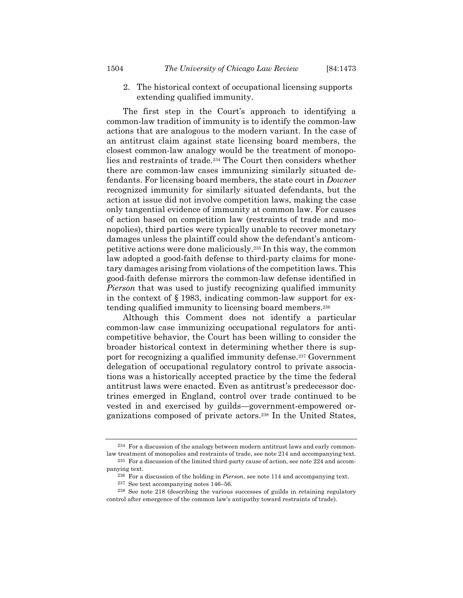2. The historical context of occupational licensing supports extending qualified immunity.

The first step in the Court's approach to identifying a common-law tradition of immunity is to identify the common-law actions that are analogous to the modern variant. In the case of an antitrust claim against state licensing board members, the closest common-law analogy would be the treatment of monopolies and restraints of trade.234 The Court then considers whether there are common-law cases immunizing similarly situated defendants. For licensing board members, the state court in *Downer* recognized immunity for similarly situated defendants, but the action at issue did not involve competition laws, making the case only tangential evidence of immunity at common law. For causes of action based on competition law (restraints of trade and monopolies), third parties were typically unable to recover monetary damages unless the plaintiff could show the defendant's anticompetitive actions were done maliciously.235 In this way, the common law adopted a good-faith defense to third-party claims for monetary damages arising from violations of the competition laws. This good-faith defense mirrors the common-law defense identified in *Pierson* that was used to justify recognizing qualified immunity in the context of § 1983, indicating common-law support for extending qualified immunity to licensing board members.236

Although this Comment does not identify a particular common-law case immunizing occupational regulators for anticompetitive behavior, the Court has been willing to consider the broader historical context in determining whether there is support for recognizing a qualified immunity defense.237 Government delegation of occupational regulatory control to private associations was a historically accepted practice by the time the federal antitrust laws were enacted. Even as antitrust's predecessor doctrines emerged in England, control over trade continued to be vested in and exercised by guilds—government-empowered organizations composed of private actors.238 In the United States,

<sup>234</sup> For a discussion of the analogy between modern antitrust laws and early commonlaw treatment of monopolies and restraints of trade, see note 214 and accompanying text.

 $^{235}\,$  For a discussion of the limited third-party cause of action, see note 224 and accompanying text.

<sup>236</sup> For a discussion of the holding in *Pierson*, see note 114 and accompanying text.

<sup>237</sup> See text accompanying notes 146–56.

<sup>238</sup> See note 218 (describing the various successes of guilds in retaining regulatory control after emergence of the common law's antipathy toward restraints of trade).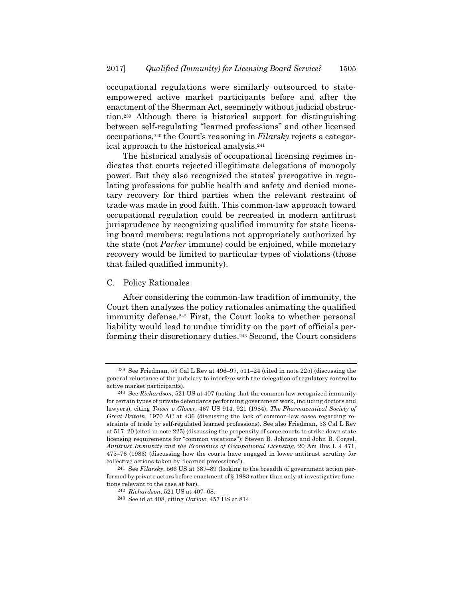occupational regulations were similarly outsourced to stateempowered active market participants before and after the enactment of the Sherman Act, seemingly without judicial obstruction.239 Although there is historical support for distinguishing between self-regulating "learned professions" and other licensed occupations,240 the Court's reasoning in *Filarsky* rejects a categorical approach to the historical analysis.241

The historical analysis of occupational licensing regimes indicates that courts rejected illegitimate delegations of monopoly power. But they also recognized the states' prerogative in regulating professions for public health and safety and denied monetary recovery for third parties when the relevant restraint of trade was made in good faith. This common-law approach toward occupational regulation could be recreated in modern antitrust jurisprudence by recognizing qualified immunity for state licensing board members: regulations not appropriately authorized by the state (not *Parker* immune) could be enjoined, while monetary recovery would be limited to particular types of violations (those that failed qualified immunity).

#### C. Policy Rationales

After considering the common-law tradition of immunity, the Court then analyzes the policy rationales animating the qualified immunity defense.<sup>242</sup> First, the Court looks to whether personal liability would lead to undue timidity on the part of officials performing their discretionary duties.243 Second, the Court considers

<sup>239</sup> See Friedman, 53 Cal L Rev at 496–97, 511–24 (cited in note 225) (discussing the general reluctance of the judiciary to interfere with the delegation of regulatory control to active market participants).

<sup>240</sup> See *Richardson*, 521 US at 407 (noting that the common law recognized immunity for certain types of private defendants performing government work, including doctors and lawyers), citing *Tower v Glover*, 467 US 914, 921 (1984); *The Pharmaceutical Society of Great Britain*, 1970 AC at 436 (discussing the lack of common-law cases regarding restraints of trade by self-regulated learned professions). See also Friedman, 53 Cal L Rev at 517–20 (cited in note 225) (discussing the propensity of some courts to strike down state licensing requirements for "common vocations"); Steven B. Johnson and John B. Corgel, *Antitrust Immunity and the Economics of Occupational Licensing*, 20 Am Bus L J 471, 475–76 (1983) (discussing how the courts have engaged in lower antitrust scrutiny for collective actions taken by "learned professions").

<sup>241</sup> See *Filarsky*, 566 US at 387–89 (looking to the breadth of government action performed by private actors before enactment of § 1983 rather than only at investigative functions relevant to the case at bar).

<sup>242</sup> *Richardson*, 521 US at 407–08. 243 See id at 408, citing *Harlow*, 457 US at 814.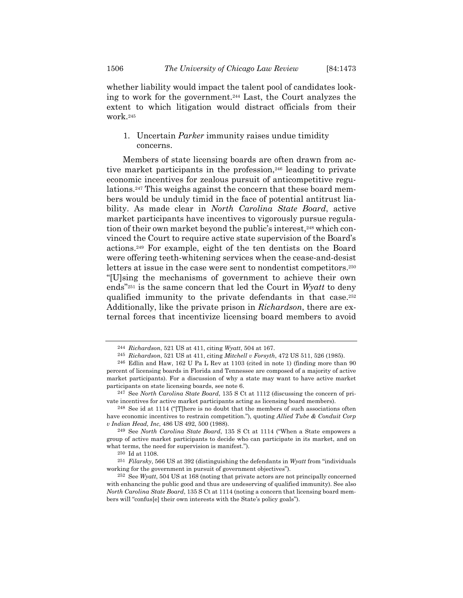whether liability would impact the talent pool of candidates looking to work for the government.244 Last, the Court analyzes the extent to which litigation would distract officials from their work.245

# 1. Uncertain *Parker* immunity raises undue timidity concerns.

Members of state licensing boards are often drawn from active market participants in the profession,246 leading to private economic incentives for zealous pursuit of anticompetitive regulations.247 This weighs against the concern that these board members would be unduly timid in the face of potential antitrust liability. As made clear in *North Carolina State Board*, active market participants have incentives to vigorously pursue regulation of their own market beyond the public's interest,<sup>248</sup> which convinced the Court to require active state supervision of the Board's actions.249 For example, eight of the ten dentists on the Board were offering teeth-whitening services when the cease-and-desist letters at issue in the case were sent to nondentist competitors.<sup>250</sup> "[U]sing the mechanisms of government to achieve their own ends"251 is the same concern that led the Court in *Wyatt* to deny qualified immunity to the private defendants in that case.252 Additionally, like the private prison in *Richardson*, there are external forces that incentivize licensing board members to avoid

<sup>244</sup> *Richardson*, 521 US at 411, citing *Wyatt*, 504 at 167.

<sup>245</sup> *Richardson*, 521 US at 411, citing *Mitchell v Forsyth*, 472 US 511, 526 (1985).

<sup>246</sup> Edlin and Haw, 162 U Pa L Rev at 1103 (cited in note 1) (finding more than 90 percent of licensing boards in Florida and Tennessee are composed of a majority of active market participants). For a discussion of why a state may want to have active market participants on state licensing boards, see note 6.

<sup>247</sup> See *North Carolina State Board*, 135 S Ct at 1112 (discussing the concern of private incentives for active market participants acting as licensing board members).

<sup>248</sup> See id at 1114 ("[T]here is no doubt that the members of such associations often have economic incentives to restrain competition."), quoting *Allied Tube & Conduit Corp v Indian Head, Inc*, 486 US 492, 500 (1988).

<sup>249</sup> See *North Carolina State Board*, 135 S Ct at 1114 ("When a State empowers a group of active market participants to decide who can participate in its market, and on what terms, the need for supervision is manifest.").

<sup>250</sup> Id at 1108.

<sup>251</sup> *Filarsky*, 566 US at 392 (distinguishing the defendants in *Wyatt* from "individuals working for the government in pursuit of government objectives").

<sup>252</sup> See *Wyatt*, 504 US at 168 (noting that private actors are not principally concerned with enhancing the public good and thus are undeserving of qualified immunity). See also *North Carolina State Board*, 135 S Ct at 1114 (noting a concern that licensing board members will "confus[e] their own interests with the State's policy goals").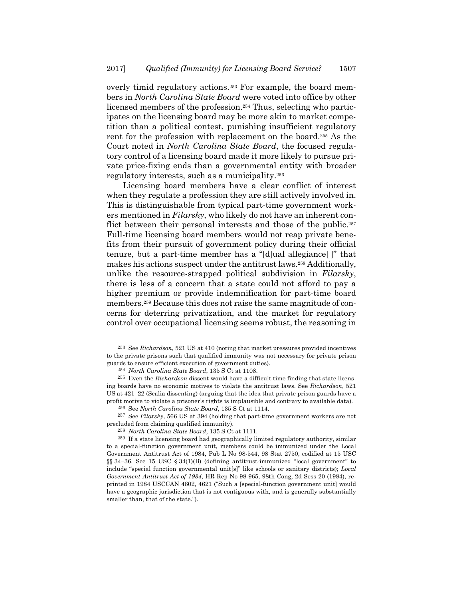overly timid regulatory actions.253 For example, the board members in *North Carolina State Board* were voted into office by other licensed members of the profession.<sup>254</sup> Thus, selecting who participates on the licensing board may be more akin to market competition than a political contest, punishing insufficient regulatory rent for the profession with replacement on the board.255 As the Court noted in *North Carolina State Board*, the focused regulatory control of a licensing board made it more likely to pursue private price-fixing ends than a governmental entity with broader regulatory interests, such as a municipality.256

Licensing board members have a clear conflict of interest when they regulate a profession they are still actively involved in. This is distinguishable from typical part-time government workers mentioned in *Filarsky*, who likely do not have an inherent conflict between their personal interests and those of the public.<sup>257</sup> Full-time licensing board members would not reap private benefits from their pursuit of government policy during their official tenure, but a part-time member has a "[d]ual allegiance[ ]" that makes his actions suspect under the antitrust laws.258 Additionally, unlike the resource-strapped political subdivision in *Filarsky*, there is less of a concern that a state could not afford to pay a higher premium or provide indemnification for part-time board members.259 Because this does not raise the same magnitude of concerns for deterring privatization, and the market for regulatory control over occupational licensing seems robust, the reasoning in

<sup>253</sup> See *Richardson*, 521 US at 410 (noting that market pressures provided incentives to the private prisons such that qualified immunity was not necessary for private prison guards to ensure efficient execution of government duties).

<sup>254</sup> *North Carolina State Board*, 135 S Ct at 1108.

<sup>255</sup> Even the *Richardson* dissent would have a difficult time finding that state licensing boards have no economic motives to violate the antitrust laws. See *Richardson*, 521 US at 421–22 (Scalia dissenting) (arguing that the idea that private prison guards have a profit motive to violate a prisoner's rights is implausible and contrary to available data).

<sup>256</sup> See *North Carolina State Board*, 135 S Ct at 1114.

<sup>257</sup> See *Filarsky*, 566 US at 394 (holding that part-time government workers are not precluded from claiming qualified immunity).

<sup>258</sup> *North Carolina State Board*, 135 S Ct at 1111.

<sup>259</sup> If a state licensing board had geographically limited regulatory authority, similar to a special-function government unit, members could be immunized under the Local Government Antitrust Act of 1984, Pub L No 98-544, 98 Stat 2750, codified at 15 USC §§ 34–36. See 15 USC § 34(1)(B) (defining antitrust-immunized "local government" to include "special function governmental unit[s]" like schools or sanitary districts); *Local Government Antitrust Act of 1984*, HR Rep No 98-965, 98th Cong, 2d Sess 20 (1984), reprinted in 1984 USCCAN 4602, 4621 ("Such a [special-function government unit] would have a geographic jurisdiction that is not contiguous with, and is generally substantially smaller than, that of the state.").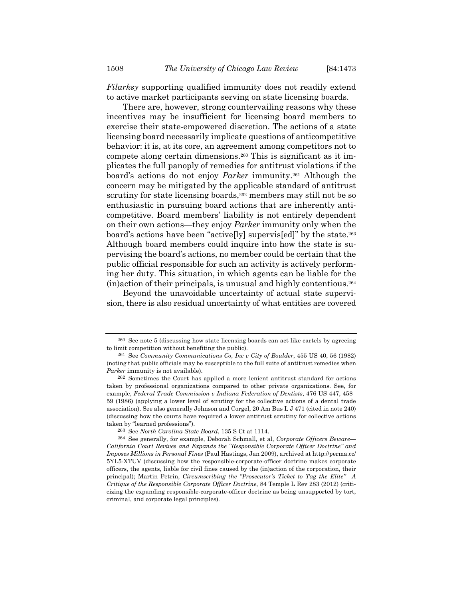*Filarksy* supporting qualified immunity does not readily extend to active market participants serving on state licensing boards.

There are, however, strong countervailing reasons why these incentives may be insufficient for licensing board members to exercise their state-empowered discretion. The actions of a state licensing board necessarily implicate questions of anticompetitive behavior: it is, at its core, an agreement among competitors not to compete along certain dimensions.260 This is significant as it implicates the full panoply of remedies for antitrust violations if the board's actions do not enjoy *Parker* immunity.261 Although the concern may be mitigated by the applicable standard of antitrust scrutiny for state licensing boards,<sup>262</sup> members may still not be so enthusiastic in pursuing board actions that are inherently anticompetitive. Board members' liability is not entirely dependent on their own actions—they enjoy *Parker* immunity only when the board's actions have been "active[ly] supervis[ed]" by the state.263 Although board members could inquire into how the state is supervising the board's actions, no member could be certain that the public official responsible for such an activity is actively performing her duty. This situation, in which agents can be liable for the (in)action of their principals, is unusual and highly contentious.264

Beyond the unavoidable uncertainty of actual state supervision, there is also residual uncertainty of what entities are covered

<sup>260</sup> See note 5 (discussing how state licensing boards can act like cartels by agreeing to limit competition without benefiting the public).

<sup>261</sup> See *Community Communications Co, Inc v City of Boulder*, 455 US 40, 56 (1982) (noting that public officials may be susceptible to the full suite of antitrust remedies when *Parker* immunity is not available).

<sup>262</sup> Sometimes the Court has applied a more lenient antitrust standard for actions taken by professional organizations compared to other private organizations. See, for example, *Federal Trade Commission v Indiana Federation of Dentists*, 476 US 447, 458– 59 (1986) (applying a lower level of scrutiny for the collective actions of a dental trade association). See also generally Johnson and Corgel, 20 Am Bus L J 471 (cited in note 240) (discussing how the courts have required a lower antitrust scrutiny for collective actions taken by "learned professions").

<sup>263</sup> See *North Carolina State Board*, 135 S Ct at 1114.

<sup>264</sup> See generally, for example, Deborah Schmall, et al, *Corporate Officers Beware— California Court Revives and Expands the "Responsible Corporate Officer Doctrine" and Imposes Millions in Personal Fines* (Paul Hastings, Jan 2009), archived at http://perma.cc/ 5YL5-XTUV (discussing how the responsible-corporate-officer doctrine makes corporate officers, the agents, liable for civil fines caused by the (in)action of the corporation, their principal); Martin Petrin, *Circumscribing the "Prosecutor's Ticket to Tag the Elite"—A Critique of the Responsible Corporate Officer Doctrine*, 84 Temple L Rev 283 (2012) (criticizing the expanding responsible-corporate-officer doctrine as being unsupported by tort, criminal, and corporate legal principles).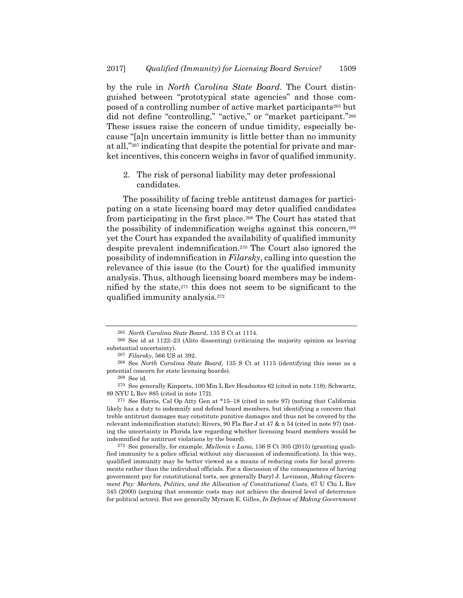by the rule in *North Carolina State Board*. The Court distinguished between "prototypical state agencies" and those composed of a controlling number of active market participants265 but did not define "controlling," "active," or "market participant."<sup>266</sup> These issues raise the concern of undue timidity, especially because "[a]n uncertain immunity is little better than no immunity at all,"267 indicating that despite the potential for private and market incentives, this concern weighs in favor of qualified immunity.

2. The risk of personal liability may deter professional candidates.

The possibility of facing treble antitrust damages for participating on a state licensing board may deter qualified candidates from participating in the first place.268 The Court has stated that the possibility of indemnification weighs against this concern,269 yet the Court has expanded the availability of qualified immunity despite prevalent indemnification.270 The Court also ignored the possibility of indemnification in *Filarsky*, calling into question the relevance of this issue (to the Court) for the qualified immunity analysis. Thus, although licensing board members may be indemnified by the state, $271$  this does not seem to be significant to the qualified immunity analysis.272

271 See Harris, Cal Op Atty Gen at \*15–18 (cited in note 97) (noting that California likely has a duty to indemnify and defend board members, but identifying a concern that treble antitrust damages may constitute punitive damages and thus not be covered by the relevant indemnification statute); Rivers, 90 Fla Bar J at 47 & n 54 (cited in note 97) (noting the uncertainty in Florida law regarding whether licensing board members would be indemnified for antitrust violations by the board).

272 See generally, for example, *Mullenix v Luna*, 136 S Ct 305 (2015) (granting qualified immunity to a police official without any discussion of indemnification). In this way, qualified immunity may be better viewed as a means of reducing costs for local governments rather than the individual officials. For a discussion of the consequences of having government pay for constitutional torts, see generally Daryl J. Levinson, *Making Government Pay: Markets, Politics, and the Allocation of Constitutional Costs*, 67 U Chi L Rev 345 (2000) (arguing that economic costs may not achieve the desired level of deterrence for political actors). But see generally Myriam E. Gilles, *In Defense of Making Government* 

<sup>265</sup> *North Carolina State Board*, 135 S Ct at 1114.

<sup>266</sup> See id at 1122–23 (Alito dissenting) (criticizing the majority opinion as leaving substantial uncertainty).

<sup>267</sup> *Filarsky*, 566 US at 392.

<sup>268</sup> See *North Carolina State Board*, 135 S Ct at 1115 (identifying this issue as a potential concern for state licensing boards).

<sup>269</sup> See id.

<sup>270</sup> See generally Kinports, 100 Min L Rev Headnotes 62 (cited in note 118); Schwartz, 89 NYU L Rev 885 (cited in note 172).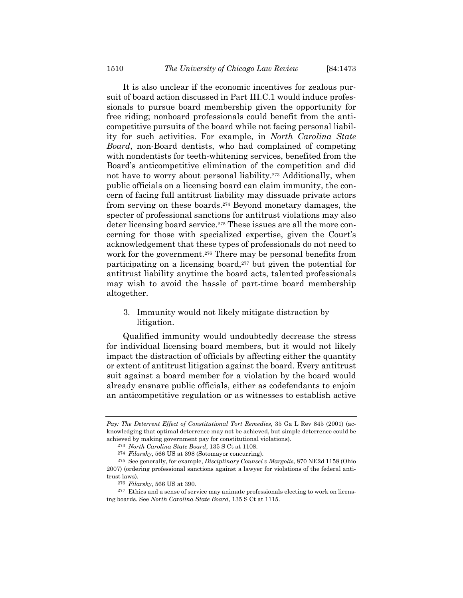It is also unclear if the economic incentives for zealous pursuit of board action discussed in Part III.C.1 would induce professionals to pursue board membership given the opportunity for free riding; nonboard professionals could benefit from the anticompetitive pursuits of the board while not facing personal liability for such activities. For example, in *North Carolina State Board*, non-Board dentists, who had complained of competing with nondentists for teeth-whitening services, benefited from the Board's anticompetitive elimination of the competition and did not have to worry about personal liability.<sup>273</sup> Additionally, when public officials on a licensing board can claim immunity, the concern of facing full antitrust liability may dissuade private actors from serving on these boards.274 Beyond monetary damages, the specter of professional sanctions for antitrust violations may also deter licensing board service.275 These issues are all the more concerning for those with specialized expertise, given the Court's acknowledgement that these types of professionals do not need to work for the government.<sup>276</sup> There may be personal benefits from participating on a licensing board,277 but given the potential for antitrust liability anytime the board acts, talented professionals may wish to avoid the hassle of part-time board membership altogether.

3. Immunity would not likely mitigate distraction by litigation.

Qualified immunity would undoubtedly decrease the stress for individual licensing board members, but it would not likely impact the distraction of officials by affecting either the quantity or extent of antitrust litigation against the board. Every antitrust suit against a board member for a violation by the board would already ensnare public officials, either as codefendants to enjoin an anticompetitive regulation or as witnesses to establish active

*Pay: The Deterrent Effect of Constitutional Tort Remedies*, 35 Ga L Rev 845 (2001) (acknowledging that optimal deterrence may not be achieved, but simple deterrence could be achieved by making government pay for constitutional violations).

<sup>273</sup> *North Carolina State Board*, 135 S Ct at 1108. 274 *Filarsky*, 566 US at 398 (Sotomayor concurring).

<sup>275</sup> See generally, for example, *Disciplinary Counsel v Margolis*, 870 NE2d 1158 (Ohio 2007) (ordering professional sanctions against a lawyer for violations of the federal antitrust laws).

<sup>276</sup> *Filarsky*, 566 US at 390.

<sup>277</sup> Ethics and a sense of service may animate professionals electing to work on licensing boards. See *North Carolina State Board*, 135 S Ct at 1115.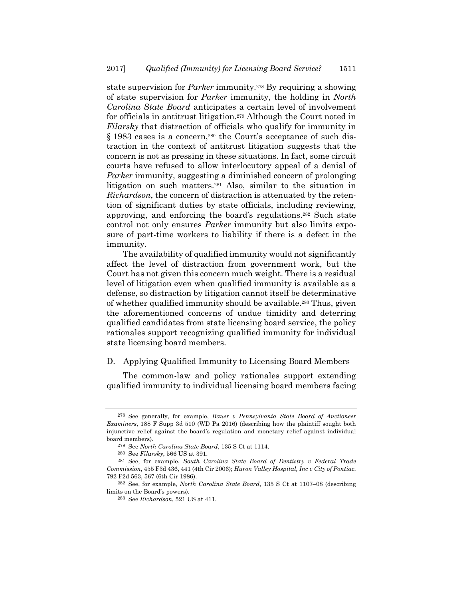state supervision for *Parker* immunity.278 By requiring a showing of state supervision for *Parker* immunity, the holding in *North Carolina State Board* anticipates a certain level of involvement for officials in antitrust litigation.279 Although the Court noted in *Filarsky* that distraction of officials who qualify for immunity in § 1983 cases is a concern,<sup>280</sup> the Court's acceptance of such distraction in the context of antitrust litigation suggests that the concern is not as pressing in these situations. In fact, some circuit courts have refused to allow interlocutory appeal of a denial of *Parker* immunity, suggesting a diminished concern of prolonging litigation on such matters.281 Also, similar to the situation in *Richardson*, the concern of distraction is attenuated by the retention of significant duties by state officials, including reviewing, approving, and enforcing the board's regulations.282 Such state control not only ensures *Parker* immunity but also limits exposure of part-time workers to liability if there is a defect in the immunity.

The availability of qualified immunity would not significantly affect the level of distraction from government work, but the Court has not given this concern much weight. There is a residual level of litigation even when qualified immunity is available as a defense, so distraction by litigation cannot itself be determinative of whether qualified immunity should be available.283 Thus, given the aforementioned concerns of undue timidity and deterring qualified candidates from state licensing board service, the policy rationales support recognizing qualified immunity for individual state licensing board members.

### D. Applying Qualified Immunity to Licensing Board Members

The common-law and policy rationales support extending qualified immunity to individual licensing board members facing

<sup>278</sup> See generally, for example, *Bauer v Pennsylvania State Board of Auctioneer Examiners*, 188 F Supp 3d 510 (WD Pa 2016) (describing how the plaintiff sought both injunctive relief against the board's regulation and monetary relief against individual board members).

<sup>279</sup> See *North Carolina State Board*, 135 S Ct at 1114. 280 See *Filarsky*, 566 US at 391.

<sup>281</sup> See, for example, *South Carolina State Board of Dentistry v Federal Trade Commission*, 455 F3d 436, 441 (4th Cir 2006); *Huron Valley Hospital, Inc v City of Pontiac*, 792 F2d 563, 567 (6th Cir 1986).

<sup>282</sup> See, for example, *North Carolina State Board*, 135 S Ct at 1107–08 (describing limits on the Board's powers).

<sup>283</sup> See *Richardson*, 521 US at 411.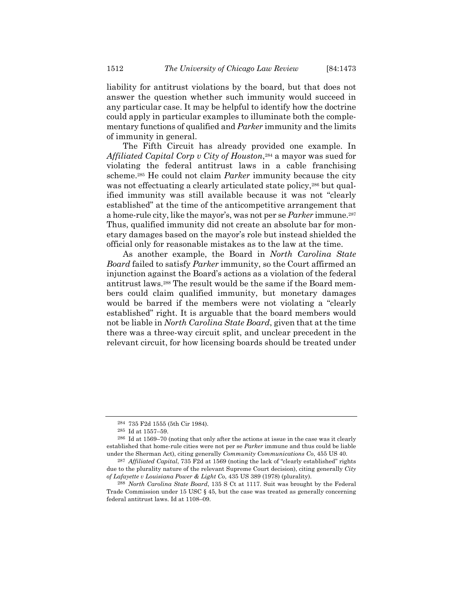liability for antitrust violations by the board, but that does not answer the question whether such immunity would succeed in any particular case. It may be helpful to identify how the doctrine could apply in particular examples to illuminate both the complementary functions of qualified and *Parker* immunity and the limits of immunity in general.

The Fifth Circuit has already provided one example. In Affiliated Capital Corp v City of Houston,<sup>284</sup> a mayor was sued for violating the federal antitrust laws in a cable franchising scheme.285 He could not claim *Parker* immunity because the city was not effectuating a clearly articulated state policy,<sup>286</sup> but qualified immunity was still available because it was not "clearly established" at the time of the anticompetitive arrangement that a home-rule city, like the mayor's, was not per se *Parker* immune.287 Thus, qualified immunity did not create an absolute bar for monetary damages based on the mayor's role but instead shielded the official only for reasonable mistakes as to the law at the time.

As another example, the Board in *North Carolina State Board* failed to satisfy *Parker* immunity, so the Court affirmed an injunction against the Board's actions as a violation of the federal antitrust laws.288 The result would be the same if the Board members could claim qualified immunity, but monetary damages would be barred if the members were not violating a "clearly established" right. It is arguable that the board members would not be liable in *North Carolina State Board*, given that at the time there was a three-way circuit split, and unclear precedent in the relevant circuit, for how licensing boards should be treated under

<sup>284 735</sup> F2d 1555 (5th Cir 1984). 285 Id at 1557–59.

<sup>286</sup> Id at 1569–70 (noting that only after the actions at issue in the case was it clearly established that home-rule cities were not per se *Parker* immune and thus could be liable under the Sherman Act), citing generally *Community Communications Co*, 455 US 40.

<sup>287</sup> *Affiliated Capital*, 735 F2d at 1569 (noting the lack of "clearly established" rights due to the plurality nature of the relevant Supreme Court decision), citing generally *City of Lafayette v Louisiana Power & Light Co*, 435 US 389 (1978) (plurality).

<sup>288</sup> *North Carolina State Board*, 135 S Ct at 1117. Suit was brought by the Federal Trade Commission under 15 USC § 45, but the case was treated as generally concerning federal antitrust laws. Id at 1108–09.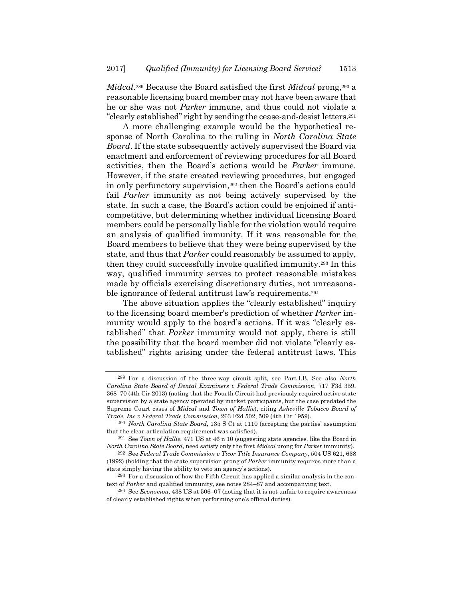*Midcal*.289 Because the Board satisfied the first *Midcal* prong,290 a reasonable licensing board member may not have been aware that he or she was not *Parker* immune, and thus could not violate a "clearly established" right by sending the cease-and-desist letters.291

A more challenging example would be the hypothetical response of North Carolina to the ruling in *North Carolina State Board*. If the state subsequently actively supervised the Board via enactment and enforcement of reviewing procedures for all Board activities, then the Board's actions would be *Parker* immune. However, if the state created reviewing procedures, but engaged in only perfunctory supervision,<sup>292</sup> then the Board's actions could fail *Parker* immunity as not being actively supervised by the state. In such a case, the Board's action could be enjoined if anticompetitive, but determining whether individual licensing Board members could be personally liable for the violation would require an analysis of qualified immunity. If it was reasonable for the Board members to believe that they were being supervised by the state, and thus that *Parker* could reasonably be assumed to apply, then they could successfully invoke qualified immunity.293 In this way, qualified immunity serves to protect reasonable mistakes made by officials exercising discretionary duties, not unreasonable ignorance of federal antitrust law's requirements.294

The above situation applies the "clearly established" inquiry to the licensing board member's prediction of whether *Parker* immunity would apply to the board's actions. If it was "clearly established" that *Parker* immunity would not apply, there is still the possibility that the board member did not violate "clearly established" rights arising under the federal antitrust laws. This

<sup>289</sup> For a discussion of the three-way circuit split, see Part I.B. See also *North Carolina State Board of Dental Examiners v Federal Trade Commission*, 717 F3d 359, 368–70 (4th Cir 2013) (noting that the Fourth Circuit had previously required active state supervision by a state agency operated by market participants, but the case predated the Supreme Court cases of *Midcal* and *Town of Hallie*), citing *Asheville Tobacco Board of Trade, Inc v Federal Trade Commission*, 263 F2d 502, 509 (4th Cir 1959).

<sup>290</sup> *North Carolina State Board*, 135 S Ct at 1110 (accepting the parties' assumption that the clear-articulation requirement was satisfied).

<sup>291</sup> See *Town of Hallie*, 471 US at 46 n 10 (suggesting state agencies, like the Board in *North Carolina State Board*, need satisfy only the first *Midcal* prong for *Parker* immunity).

<sup>292</sup> See *Federal Trade Commission v Ticor Title Insurance Company*, 504 US 621, 638 (1992) (holding that the state supervision prong of *Parker* immunity requires more than a state simply having the ability to veto an agency's actions).

 $293$  For a discussion of how the Fifth Circuit has applied a similar analysis in the context of *Parker* and qualified immunity, see notes 284–87 and accompanying text.

<sup>294</sup> See *Economou*, 438 US at 506–07 (noting that it is not unfair to require awareness of clearly established rights when performing one's official duties).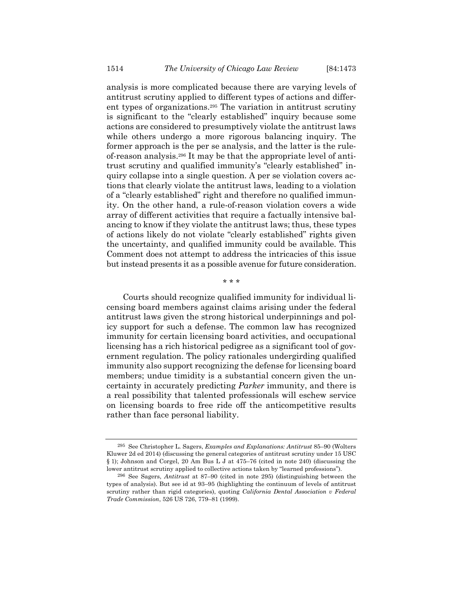analysis is more complicated because there are varying levels of antitrust scrutiny applied to different types of actions and different types of organizations.295 The variation in antitrust scrutiny is significant to the "clearly established" inquiry because some actions are considered to presumptively violate the antitrust laws while others undergo a more rigorous balancing inquiry. The former approach is the per se analysis, and the latter is the ruleof-reason analysis.296 It may be that the appropriate level of antitrust scrutiny and qualified immunity's "clearly established" inquiry collapse into a single question. A per se violation covers actions that clearly violate the antitrust laws, leading to a violation of a "clearly established" right and therefore no qualified immunity. On the other hand, a rule-of-reason violation covers a wide array of different activities that require a factually intensive balancing to know if they violate the antitrust laws; thus, these types of actions likely do not violate "clearly established" rights given the uncertainty, and qualified immunity could be available. This Comment does not attempt to address the intricacies of this issue but instead presents it as a possible avenue for future consideration.

\* \* \*

Courts should recognize qualified immunity for individual licensing board members against claims arising under the federal antitrust laws given the strong historical underpinnings and policy support for such a defense. The common law has recognized immunity for certain licensing board activities, and occupational licensing has a rich historical pedigree as a significant tool of government regulation. The policy rationales undergirding qualified immunity also support recognizing the defense for licensing board members; undue timidity is a substantial concern given the uncertainty in accurately predicting *Parker* immunity, and there is a real possibility that talented professionals will eschew service on licensing boards to free ride off the anticompetitive results rather than face personal liability.

<sup>295</sup> See Christopher L. Sagers, *Examples and Explanations: Antitrust* 85–90 (Wolters Kluwer 2d ed 2014) (discussing the general categories of antitrust scrutiny under 15 USC § 1); Johnson and Corgel, 20 Am Bus L J at 475–76 (cited in note 240) (discussing the lower antitrust scrutiny applied to collective actions taken by "learned professions").

<sup>296</sup> See Sagers, *Antitrust* at 87–90 (cited in note 295) (distinguishing between the types of analysis). But see id at 93–95 (highlighting the continuum of levels of antitrust scrutiny rather than rigid categories), quoting *California Dental Association v Federal Trade Commission*, 526 US 726, 779–81 (1999).